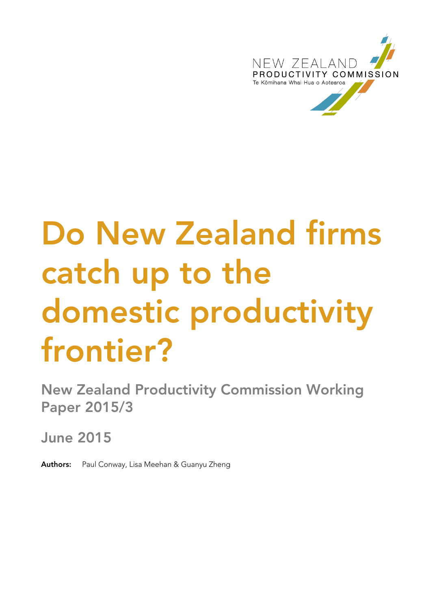

# **Do New Zealand firms catch up to the domestic productivity frontier?**

**New Zealand Productivity Commission Working Paper 2015/3**

**June 2015**

**Authors:** Paul Conway, Lisa Meehan & Guanyu Zheng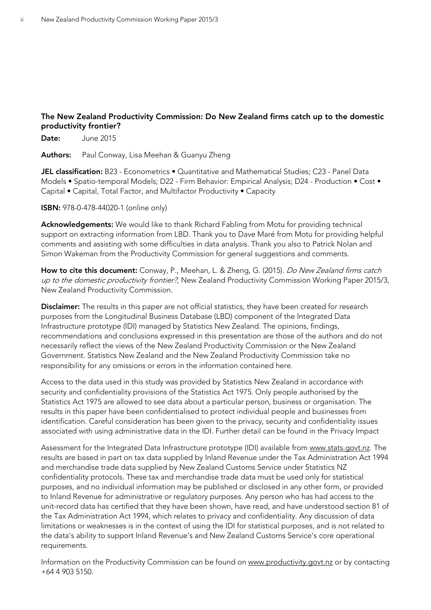### **The New Zealand Productivity Commission: Do New Zealand firms catch up to the domestic productivity frontier?**

**Date:** June 2015

**Authors:** Paul Conway, Lisa Meehan & Guanyu Zheng

**JEL classification:** B23 - Econometrics • Quantitative and Mathematical Studies; C23 - Panel Data Models • Spatio-temporal Models; D22 - Firm Behavior: Empirical Analysis; D24 - Production • Cost • Capital • Capital, Total Factor, and Multifactor Productivity • Capacity

**ISBN:** 978-0-478-44020-1 (online only)

**Acknowledgements:** We would like to thank Richard Fabling from Motu for providing technical support on extracting information from LBD. Thank you to Dave Maré from Motu for providing helpful comments and assisting with some difficulties in data analysis. Thank you also to Patrick Nolan and Simon Wakeman from the Productivity Commission for general suggestions and comments.

How to cite this document: Conway, P., Meehan, L. & Zheng, G. (2015). *Do New Zealand firms catch* up to the domestic productivity frontier?, New Zealand Productivity Commission Working Paper 2015/3, New Zealand Productivity Commission.

**Disclaimer:** The results in this paper are not official statistics, they have been created for research purposes from the Longitudinal Business Database (LBD) component of the Integrated Data Infrastructure prototype (IDI) managed by Statistics New Zealand. The opinions, findings, recommendations and conclusions expressed in this presentation are those of the authors and do not necessarily reflect the views of the New Zealand Productivity Commission or the New Zealand Government. Statistics New Zealand and the New Zealand Productivity Commission take no responsibility for any omissions or errors in the information contained here.

Access to the data used in this study was provided by Statistics New Zealand in accordance with security and confidentiality provisions of the Statistics Act 1975. Only people authorised by the Statistics Act 1975 are allowed to see data about a particular person, business or organisation. The results in this paper have been confidentialised to protect individual people and businesses from identification. Careful consideration has been given to the privacy, security and confidentiality issues associated with using administrative data in the IDI. Further detail can be found in the Privacy Impact

Assessment for the Integrated Data Infrastructure prototype (IDI) available from [www.stats.govt.nz.](http://www.stats.govt.nz/) The results are based in part on tax data supplied by Inland Revenue under the Tax Administration Act 1994 and merchandise trade data supplied by New Zealand Customs Service under Statistics NZ confidentiality protocols. These tax and merchandise trade data must be used only for statistical purposes, and no individual information may be published or disclosed in any other form, or provided to Inland Revenue for administrative or regulatory purposes. Any person who has had access to the unit-record data has certified that they have been shown, have read, and have understood section 81 of the Tax Administration Act 1994, which relates to privacy and confidentiality. Any discussion of data limitations or weaknesses is in the context of using the IDI for statistical purposes, and is not related to the data's ability to support Inland Revenue's and New Zealand Customs Service's core operational requirements.

Information on the Productivity Commission can be found on [www.productivity.govt.nz](http://www.productivity.govt.nz/) or by contacting +64 4 903 5150.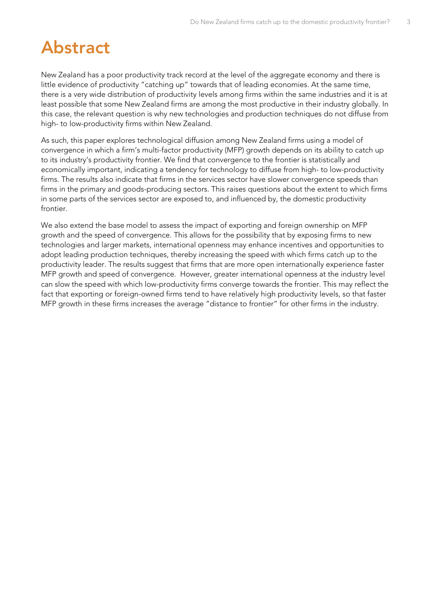# <span id="page-2-0"></span>**Abstract**

New Zealand has a poor productivity track record at the level of the aggregate economy and there is little evidence of productivity "catching up" towards that of leading economies. At the same time, there is a very wide distribution of productivity levels among firms within the same industries and it is at least possible that some New Zealand firms are among the most productive in their industry globally. In this case, the relevant question is why new technologies and production techniques do not diffuse from high- to low-productivity firms within New Zealand.

As such, this paper explores technological diffusion among New Zealand firms using a model of convergence in which a firm's multi-factor productivity (MFP) growth depends on its ability to catch up to its industry's productivity frontier. We find that convergence to the frontier is statistically and economically important, indicating a tendency for technology to diffuse from high- to low-productivity firms. The results also indicate that firms in the services sector have slower convergence speeds than firms in the primary and goods-producing sectors. This raises questions about the extent to which firms in some parts of the services sector are exposed to, and influenced by, the domestic productivity frontier.

We also extend the base model to assess the impact of exporting and foreign ownership on MFP growth and the speed of convergence. This allows for the possibility that by exposing firms to new technologies and larger markets, international openness may enhance incentives and opportunities to adopt leading production techniques, thereby increasing the speed with which firms catch up to the productivity leader. The results suggest that firms that are more open internationally experience faster MFP growth and speed of convergence. However, greater international openness at the industry level can slow the speed with which low-productivity firms converge towards the frontier. This may reflect the fact that exporting or foreign-owned firms tend to have relatively high productivity levels, so that faster MFP growth in these firms increases the average "distance to frontier" for other firms in the industry.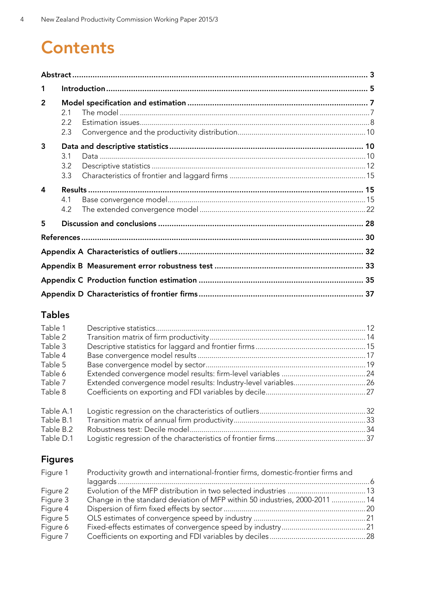# **Contents**

| 1              |                   |  |
|----------------|-------------------|--|
| $\overline{2}$ | 21<br>2.2<br>2.3  |  |
| 3              | 3.1<br>3.2<br>3.3 |  |
| 4              | 4.1<br>4.2        |  |
| 5              |                   |  |
|                |                   |  |
|                |                   |  |
|                |                   |  |
|                |                   |  |
|                |                   |  |

## **Tables**

| Table 1   |  |
|-----------|--|
| Table 2   |  |
| Table 3   |  |
| Table 4   |  |
| Table 5   |  |
| Table 6   |  |
| Table 7   |  |
| Table 8   |  |
| Table A.1 |  |
| Table B.1 |  |
| Table B.2 |  |
| Table D.1 |  |

# **Figures**

| Figure 1 | Productivity growth and international-frontier firms, domestic-frontier firms and |  |  |  |  |  |
|----------|-----------------------------------------------------------------------------------|--|--|--|--|--|
|          |                                                                                   |  |  |  |  |  |
| Figure 2 |                                                                                   |  |  |  |  |  |
| Figure 3 | Change in the standard deviation of MFP within 50 industries, 2000-2011  14       |  |  |  |  |  |
| Figure 4 |                                                                                   |  |  |  |  |  |
| Figure 5 |                                                                                   |  |  |  |  |  |
| Figure 6 |                                                                                   |  |  |  |  |  |
| Figure 7 |                                                                                   |  |  |  |  |  |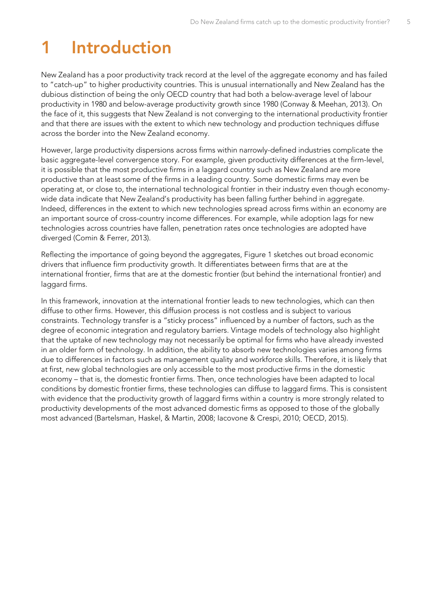# <span id="page-4-0"></span>**1 Introduction**

New Zealand has a poor productivity track record at the level of the aggregate economy and has failed to "catch-up" to higher productivity countries. This is unusual internationally and New Zealand has the dubious distinction of being the only OECD country that had both a below-average level of labour productivity in 1980 and below-average productivity growth since 1980 (Conway & Meehan, 2013). On the face of it, this suggests that New Zealand is not converging to the international productivity frontier and that there are issues with the extent to which new technology and production techniques diffuse across the border into the New Zealand economy.

However, large productivity dispersions across firms within narrowly-defined industries complicate the basic aggregate-level convergence story. For example, given productivity differences at the firm-level, it is possible that the most productive firms in a laggard country such as New Zealand are more productive than at least some of the firms in a leading country. Some domestic firms may even be operating at, or close to, the international technological frontier in their industry even though economywide data indicate that New Zealand's productivity has been falling further behind in aggregate. Indeed, differences in the extent to which new technologies spread across firms within an economy are an important source of cross-country income differences. For example, while adoption lags for new technologies across countries have fallen, penetration rates once technologies are adopted have diverged (Comin & Ferrer, 2013).

Reflecting the importance of going beyond the aggregates, [Figure 1](#page-5-0) sketches out broad economic drivers that influence firm productivity growth. It differentiates between firms that are at the international frontier, firms that are at the domestic frontier (but behind the international frontier) and laggard firms.

In this framework, innovation at the international frontier leads to new technologies, which can then diffuse to other firms. However, this diffusion process is not costless and is subject to various constraints. Technology transfer is a "sticky process" influenced by a number of factors, such as the degree of economic integration and regulatory barriers. Vintage models of technology also highlight that the uptake of new technology may not necessarily be optimal for firms who have already invested in an older form of technology. In addition, the ability to absorb new technologies varies among firms due to differences in factors such as management quality and workforce skills. Therefore, it is likely that at first, new global technologies are only accessible to the most productive firms in the domestic economy – that is, the domestic frontier firms. Then, once technologies have been adapted to local conditions by domestic frontier firms, these technologies can diffuse to laggard firms. This is consistent with evidence that the productivity growth of laggard firms within a country is more strongly related to productivity developments of the most advanced domestic firms as opposed to those of the globally most advanced (Bartelsman, Haskel, & Martin, 2008; Iacovone & Crespi, 2010; OECD, 2015).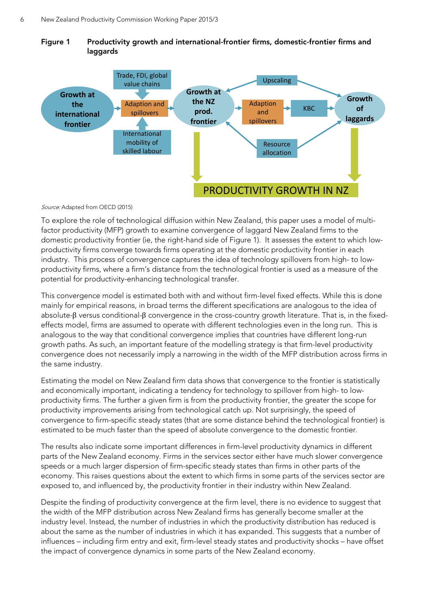<span id="page-5-0"></span>



Source: Adapted from OECD (2015)

To explore the role of technological diffusion within New Zealand, this paper uses a model of multifactor productivity (MFP) growth to examine convergence of laggard New Zealand firms to the domestic productivity frontier (ie, the right-hand side of [Figure 1\)](#page-5-0). It assesses the extent to which lowproductivity firms converge towards firms operating at the domestic productivity frontier in each industry. This process of convergence captures the idea of technology spillovers from high- to lowproductivity firms, where a firm's distance from the technological frontier is used as a measure of the potential for productivity-enhancing technological transfer.

This convergence model is estimated both with and without firm-level fixed effects. While this is done mainly for empirical reasons, in broad terms the different specifications are analogous to the idea of absolute-β versus conditional-β convergence in the cross-country growth literature. That is, in the fixedeffects model, firms are assumed to operate with different technologies even in the long run. This is analogous to the way that conditional convergence implies that countries have different long-run growth paths. As such, an important feature of the modelling strategy is that firm-level productivity convergence does not necessarily imply a narrowing in the width of the MFP distribution across firms in the same industry.

Estimating the model on New Zealand firm data shows that convergence to the frontier is statistically and economically important, indicating a tendency for technology to spillover from high- to lowproductivity firms. The further a given firm is from the productivity frontier, the greater the scope for productivity improvements arising from technological catch up. Not surprisingly, the speed of convergence to firm-specific steady states (that are some distance behind the technological frontier) is estimated to be much faster than the speed of absolute convergence to the domestic frontier.

The results also indicate some important differences in firm-level productivity dynamics in different parts of the New Zealand economy. Firms in the services sector either have much slower convergence speeds or a much larger dispersion of firm-specific steady states than firms in other parts of the economy. This raises questions about the extent to which firms in some parts of the services sector are exposed to, and influenced by, the productivity frontier in their industry within New Zealand.

Despite the finding of productivity convergence at the firm level, there is no evidence to suggest that the width of the MFP distribution across New Zealand firms has generally become smaller at the industry level. Instead, the number of industries in which the productivity distribution has reduced is about the same as the number of industries in which it has expanded. This suggests that a number of influences – including firm entry and exit, firm-level steady states and productivity shocks – have offset the impact of convergence dynamics in some parts of the New Zealand economy.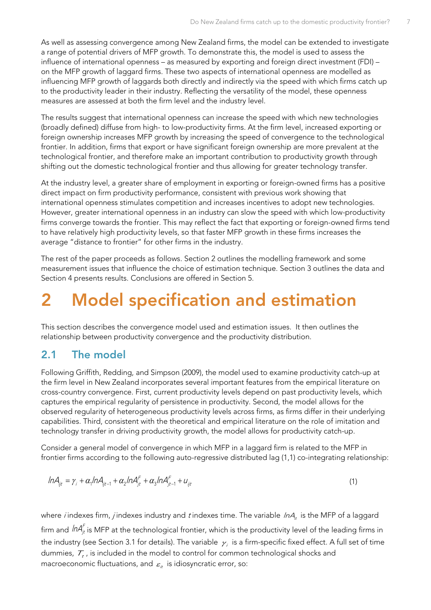As well as assessing convergence among New Zealand firms, the model can be extended to investigate a range of potential drivers of MFP growth. To demonstrate this, the model is used to assess the influence of international openness – as measured by exporting and foreign direct investment (FDI) – on the MFP growth of laggard firms. These two aspects of international openness are modelled as influencing MFP growth of laggards both directly and indirectly via the speed with which firms catch up to the productivity leader in their industry. Reflecting the versatility of the model, these openness measures are assessed at both the firm level and the industry level.

The results suggest that international openness can increase the speed with which new technologies (broadly defined) diffuse from high- to low-productivity firms. At the firm level, increased exporting or foreign ownership increases MFP growth by increasing the speed of convergence to the technological frontier. In addition, firms that export or have significant foreign ownership are more prevalent at the technological frontier, and therefore make an important contribution to productivity growth through shifting out the domestic technological frontier and thus allowing for greater technology transfer.

At the industry level, a greater share of employment in exporting or foreign-owned firms has a positive direct impact on firm productivity performance, consistent with previous work showing that international openness stimulates competition and increases incentives to adopt new technologies. However, greater international openness in an industry can slow the speed with which low-productivity firms converge towards the frontier. This may reflect the fact that exporting or foreign-owned firms tend to have relatively high productivity levels, so that faster MFP growth in these firms increases the average "distance to frontier" for other firms in the industry.

The rest of the paper proceeds as follows. Section 2 outlines the modelling framework and some measurement issues that influence the choice of estimation technique. Section 3 outlines the data and Section 4 presents results. Conclusions are offered in Section 5.

# <span id="page-6-0"></span>**2 Model specification and estimation**

This section describes the convergence model used and estimation issues. It then outlines the relationship between productivity convergence and the productivity distribution.

### <span id="page-6-1"></span>**2.1 The model**

Following Griffith, Redding, and Simpson (2009), the model used to examine productivity catch-up at the firm level in New Zealand incorporates several important features from the empirical literature on cross-country convergence. First, current productivity levels depend on past productivity levels, which captures the empirical regularity of persistence in productivity. Second, the model allows for the observed regularity of heterogeneous productivity levels across firms, as firms differ in their underlying capabilities. Third, consistent with the theoretical and empirical literature on the role of imitation and technology transfer in driving productivity growth, the model allows for productivity catch-up.

Consider a general model of convergence in which MFP in a laggard firm is related to the MFP in frontier firms according to the following auto-regressive distributed lag (1,1) co-integrating relationship:

<span id="page-6-2"></span>
$$
ln A_{ijt} = \gamma_i + \alpha_i ln A_{ijt-1} + \alpha_2 ln A_{jt}^F + \alpha_3 ln A_{jt-1}^F + u_{ijt}
$$
\n
$$
\tag{1}
$$

where *i* indexes firm, *j* indexes industry and *t* indexes time. The variable  $ln A$ <sub>i</sub> is the MFP of a laggard firm and  ${\it InA}^{\digamma}_{jt}$  is MFP at the technological frontier, which is the productivity level of the leading firms in the industry (see Section [3.1](#page-9-2) for details). The variable  $\gamma_i$  is a firm-specific fixed effect. A full set of time dummies,  $\mathcal{T}_t$ , is included in the model to control for common technological shocks and macroeconomic fluctuations, and  $\varepsilon_{it}$  is idiosyncratic error, so: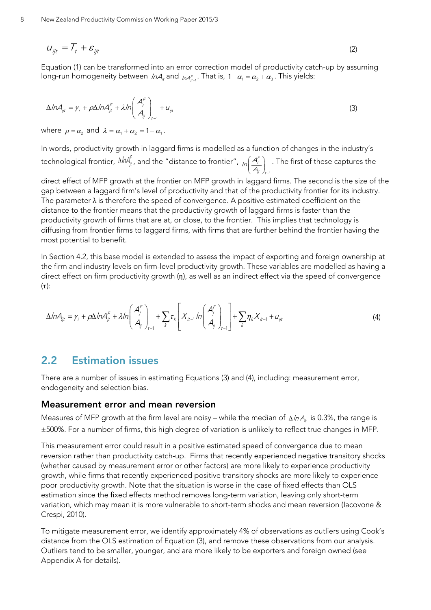$$
U_{ijt} = \mathcal{T}_t + \mathcal{E}_{ijt} \tag{2}
$$

Equation [\(1\)](#page-6-2) can be transformed into an error correction model of productivity catch-up by assuming long-run homogeneity between *InA*, and <sub>InAr</sub>. That is, 1– $\alpha_{\scriptscriptstyle 1}$  =  $\alpha_{\scriptscriptstyle 2}$  +  $\alpha_{\scriptscriptstyle 3}$  . This yields:

<span id="page-7-1"></span>
$$
\Delta ln A_{ji} = \gamma_i + \rho \Delta ln A_{jt}^F + \lambda ln \left( \frac{A_j^F}{A_{jj}} \right)_{t-1} + u_{jt}
$$
\n(3)

where  $\rho = \alpha_2$  and  $\lambda = \alpha_1 + \alpha_2 = 1 - \alpha_1$ .

In words, productivity growth in laggard firms is modelled as a function of changes in the industry's technological frontier,  $\Delta$ ln $A_{jt}^f$ , and the "distance to frontier",  $\frac{1}{\sqrt{2}}\Big(A_j^F\Big)$  $\ddot{y}$  )  $_t$  $\ln\left(\frac{A_j^{\epsilon}}{A_{ij}}\right)_{t=1}$ . The first of these captures the

direct effect of MFP growth at the frontier on MFP growth in laggard firms. The second is the size of the gap between a laggard firm's level of productivity and that of the productivity frontier for its industry. The parameter  $\lambda$  is therefore the speed of convergence. A positive estimated coefficient on the distance to the frontier means that the productivity growth of laggard firms is faster than the productivity growth of firms that are at, or close, to the frontier. This implies that technology is diffusing from frontier firms to laggard firms, with firms that are further behind the frontier having the most potential to benefit.

In Section [4.2,](#page-21-0) this base model is extended to assess the impact of exporting and foreign ownership at the firm and industry levels on firm-level productivity growth. These variables are modelled as having a direct effect on firm productivity growth (η), as well as an indirect effect via the speed of convergence  $(\tau)$ :

<span id="page-7-2"></span>
$$
\Delta ln A_{ji} = \gamma_i + \rho \Delta ln A_{jt}^F + \lambda ln \left( \frac{A_j^F}{A_{jj}} \right)_{t=1} + \sum_k \tau_k \left[ X_{it-1} ln \left( \frac{A_j^F}{A_{jj}} \right)_{t=1} \right] + \sum_k \eta_k X_{it-1} + u_{jt}
$$
\n(4)

### <span id="page-7-0"></span>**2.2 Estimation issues**

There are a number of issues in estimating Equations [\(3\)](#page-7-1) and [\(4\),](#page-7-2) including: measurement error, endogeneity and selection bias.

#### **Measurement error and mean reversion**

Measures of MFP growth at the firm level are noisy – while the median of  $\Delta ln A_{\mu}$  is 0.3%, the range is ±500%. For a number of firms, this high degree of variation is unlikely to reflect true changes in MFP.

This measurement error could result in a positive estimated speed of convergence due to mean reversion rather than productivity catch-up. Firms that recently experienced negative transitory shocks (whether caused by measurement error or other factors) are more likely to experience productivity growth, while firms that recently experienced positive transitory shocks are more likely to experience poor productivity growth. Note that the situation is worse in the case of fixed effects than OLS estimation since the fixed effects method removes long-term variation, leaving only short-term variation, which may mean it is more vulnerable to short-term shocks and mean reversion (Iacovone & Crespi, 2010).

To mitigate measurement error, we identify approximately 4% of observations as outliers using Cook's distance from the OLS estimation of Equation [\(3\),](#page-7-1) and remove these observations from our analysis. Outliers tend to be smaller, younger, and are more likely to be exporters and foreign owned (see [Appendix A](#page-31-0) for details).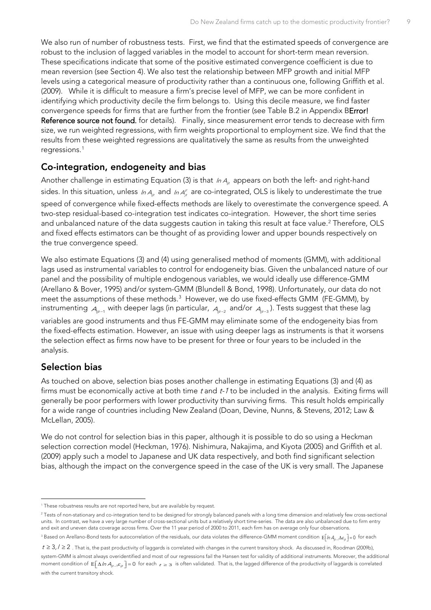We also run of number of robustness tests. First, we find that the estimated speeds of convergence are robust to the inclusion of lagged variables in the model to account for short-term mean reversion. These specifications indicate that some of the positive estimated convergence coefficient is due to mean reversion (see Section [4\)](#page-14-1). We also test the relationship between MFP growth and initial MFP levels using a categorical measure of productivity rather than a continuous one, following Griffith et al. (2009). While it is difficult to measure a firm's precise level of MFP, we can be more confident in identifying which productivity decile the firm belongs to. Using this decile measure, we find faster convergence speeds for firms that are further from the frontier (see [Table B.2](#page-33-0) in [Appendix BError!](#page-32-0)  Reference source not found. for details). Finally, since measurement error tends to decrease with firm size, we run weighted regressions, with firm weights proportional to employment size. We find that the results from these weighted regressions are qualitatively the same as results from the unweighted regressions. [1](#page-8-0)

#### **Co-integration, endogeneity and bias**

Another challenge in estimating Equation (3) is that  $ln A_{n}$  appears on both the left- and right-hand sides. In this situation, unless *In*  $_{A_{jt}}$  and *In*  $A_{\mu}^{\digamma}$  are co-integrated, OLS is likely to underestimate the true speed of convergence while fixed-effects methods are likely to overestimate the convergence speed. A two-step residual-based co-integration test indicates co-integration. However, the short time series and unbalanced nature of the data suggests caution in taking this result at face value.<sup>[2](#page-8-1)</sup> Therefore, OLS and fixed effects estimators can be thought of as providing lower and upper bounds respectively on the true convergence speed.

We also estimate Equations [\(3\)](#page-7-1) an[d \(4\)](#page-7-2) using generalised method of moments (GMM), with additional lags used as instrumental variables to control for endogeneity bias. Given the unbalanced nature of our panel and the possibility of multiple endogenous variables, we would ideally use difference-GMM (Arellano & Bover, 1995) and/or system-GMM (Blundell & Bond, 1998). Unfortunately, our data do not meet the assumptions of these methods. $^3$  $^3$  However, we do use fixed-effects GMM (FE-GMM), by instrumenting  $A_{ijt-1}$  with deeper lags (in particular,  $A_{ijt-2}$  and/or  $A_{ijt-3}$ ). Tests suggest that these lag variables are good instruments and thus FE-GMM may eliminate some of the endogeneity bias from the fixed-effects estimation. However, an issue with using deeper lags as instruments is that it worsens the selection effect as firms now have to be present for three or four years to be included in the analysis.

### **Selection bias**

As touched on above, selection bias poses another challenge in estimating Equations [\(3\)](#page-7-1) and [\(4\)](#page-7-2) as firms must be economically active at both time  $t$  and  $t$ -1 to be included in the analysis. Exiting firms will generally be poor performers with lower productivity than surviving firms. This result holds empirically for a wide range of countries including New Zealand (Doan, Devine, Nunns, & Stevens, 2012; Law & McLellan, 2005).

We do not control for selection bias in this paper, although it is possible to do so using a Heckman selection correction model (Heckman, 1976). Nishimura, Nakajima, and Kiyota (2005) and Griffith et al. (2009) apply such a model to Japanese and UK data respectively, and both find significant selection bias, although the impact on the convergence speed in the case of the UK is very small. The Japanese

<sup>&</sup>lt;sup>1</sup> These robustness results are not reported here, but are available by request.  $\ddot{ }$ 

<span id="page-8-1"></span><span id="page-8-0"></span><sup>&</sup>lt;sup>2</sup> Tests of non-stationary and co-integration tend to be designed for strongly balanced panels with a long time dimension and relatively few cross-sectional units. In contrast, we have a very large number of cross-sectional units but a relatively short time-series. The data are also unbalanced due to firm entry and exit and uneven data coverage across firms. Over the 11 year period of 2000 to 2011, each firm has on average only four observations.

<span id="page-8-2"></span><sup>&</sup>lt;sup>3</sup> Based on Arellano-Bond tests for autocorrelation of the residuals, our data violates the difference-GMM moment condition  $E[/\hbar A_{n-l}\Delta\varepsilon_{\hat{n}}]=0$  for each

 $t \ge 3$ ,  $l \ge 2$  . That is, the past productivity of laggards is correlated with changes in the current transitory shock. As discussed in, Roodman (2009b), system-GMM is almost always overidentified and most of our regressions fail the Hansen test for validity of additional instruments. Moreover, the additional moment condition of  $E[\Delta/\eta A_{m-1}\epsilon_{m}]=0$  for each  $\epsilon \geq 3$  is often validated. That is, the lagged difference of the productivity of laggards is correlated with the current transitory shock.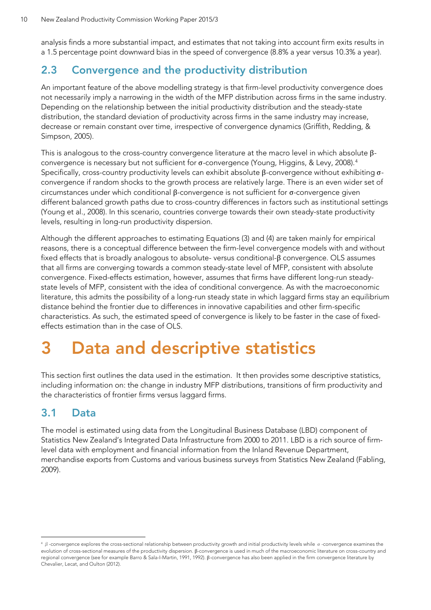analysis finds a more substantial impact, and estimates that not taking into account firm exits results in a 1.5 percentage point downward bias in the speed of convergence (8.8% a year versus 10.3% a year).

### <span id="page-9-0"></span>**2.3 Convergence and the productivity distribution**

An important feature of the above modelling strategy is that firm-level productivity convergence does not necessarily imply a narrowing in the width of the MFP distribution across firms in the same industry. Depending on the relationship between the initial productivity distribution and the steady-state distribution, the standard deviation of productivity across firms in the same industry may increase, decrease or remain constant over time, irrespective of convergence dynamics (Griffith, Redding, & Simpson, 2005).

This is analogous to the cross-country convergence literature at the macro level in which absolute βconvergence is necessary but not sufficient for σ-convergence (Young, Higgins, & Levy, 2008). [4](#page-9-3) Specifically, cross-country productivity levels can exhibit absolute β-convergence without exhibiting σconvergence if random shocks to the growth process are relatively large. There is an even wider set of circumstances under which conditional β-convergence is not sufficient for σ-convergence given different balanced growth paths due to cross-country differences in factors such as institutional settings (Young et al., 2008). In this scenario, countries converge towards their own steady-state productivity levels, resulting in long-run productivity dispersion.

Although the different approaches to estimating Equations (3) and (4) are taken mainly for empirical reasons, there is a conceptual difference between the firm-level convergence models with and without fixed effects that is broadly analogous to absolute- versus conditional-β convergence. OLS assumes that all firms are converging towards a common steady-state level of MFP, consistent with absolute convergence. Fixed-effects estimation, however, assumes that firms have different long-run steadystate levels of MFP, consistent with the idea of conditional convergence. As with the macroeconomic literature, this admits the possibility of a long-run steady state in which laggard firms stay an equilibrium distance behind the frontier due to differences in innovative capabilities and other firm-specific characteristics. As such, the estimated speed of convergence is likely to be faster in the case of fixedeffects estimation than in the case of OLS.

# <span id="page-9-1"></span>**3 Data and descriptive statistics**

This section first outlines the data used in the estimation. It then provides some descriptive statistics, including information on: the change in industry MFP distributions, transitions of firm productivity and the characteristics of frontier firms versus laggard firms.

### <span id="page-9-2"></span>**3.1 Data**

 $\ddot{ }$ 

The model is estimated using data from the Longitudinal Business Database (LBD) component of Statistics New Zealand's Integrated Data Infrastructure from 2000 to 2011. LBD is a rich source of firmlevel data with employment and financial information from the Inland Revenue Department, merchandise exports from Customs and various business surveys from Statistics New Zealand (Fabling, 2009).

<span id="page-9-3"></span> $4\beta$ -convergence explores the cross-sectional relationship between productivity growth and initial productivity levels while  $\sigma$ -convergence examines the evolution of cross-sectional measures of the productivity dispersion. β-convergence is used in much of the macroeconomic literature on cross-country and regional convergence (see for example Barro & Sala-I-Martin, 1991, 1992). β-convergence has also been applied in the firm convergence literature by Chevalier, Lecat, and Oulton (2012).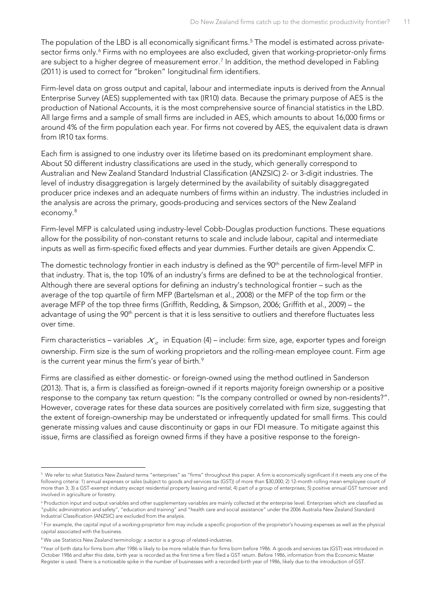The population of the LBD is all economically significant firms.<sup>[5](#page-10-0)</sup> The model is estimated across private-sector firms only.<sup>[6](#page-10-1)</sup> Firms with no employees are also excluded, given that working-proprietor-only firms are subject to a higher degree of measurement error.<sup>[7](#page-10-2)</sup> In addition, the method developed in Fabling (2011) is used to correct for "broken" longitudinal firm identifiers.

Firm-level data on gross output and capital, labour and intermediate inputs is derived from the Annual Enterprise Survey (AES) supplemented with tax (IR10) data. Because the primary purpose of AES is the production of National Accounts, it is the most comprehensive source of financial statistics in the LBD. All large firms and a sample of small firms are included in AES, which amounts to about 16,000 firms or around 4% of the firm population each year. For firms not covered by AES, the equivalent data is drawn from IR10 tax forms.

Each firm is assigned to one industry over its lifetime based on its predominant employment share. About 50 different industry classifications are used in the study, which generally correspond to Australian and New Zealand Standard Industrial Classification (ANZSIC) 2- or 3-digit industries. The level of industry disaggregation is largely determined by the availability of suitably disaggregated producer price indexes and an adequate numbers of firms within an industry. The industries included in the analysis are across the primary, goods-producing and services sectors of the New Zealand economy.[8](#page-10-3)

Firm-level MFP is calculated using industry-level Cobb-Douglas production functions. These equations allow for the possibility of non-constant returns to scale and include labour, capital and intermediate inputs as well as firm-specific fixed effects and year dummies. Further details are given [Appendix C.](#page-34-0)

The domestic technology frontier in each industry is defined as the 90<sup>th</sup> percentile of firm-level MFP in that industry. That is, the top 10% of an industry's firms are defined to be at the technological frontier. Although there are several options for defining an industry's technological frontier – such as the average of the top quartile of firm MFP (Bartelsman et al., 2008) or the MFP of the top firm or the average MFP of the top three firms (Griffith, Redding, & Simpson, 2006; Griffith et al., 2009) – the advantage of using the 90<sup>th</sup> percent is that it is less sensitive to outliers and therefore fluctuates less over time.

Firm characteristics – variables  $X_{it}$  in Equation [\(4\)](#page-7-2) – include: firm size, age, exporter types and foreign ownership. Firm size is the sum of working proprietors and the rolling-mean employee count. Firm age is the current year minus the firm's year of birth.<sup>[9](#page-10-4)</sup>

Firms are classified as either domestic- or foreign-owned using the method outlined in Sanderson (2013). That is, a firm is classified as foreign-owned if it reports majority foreign ownership or a positive response to the company tax return question: "Is the company controlled or owned by non-residents?". However, coverage rates for these data sources are positively correlated with firm size, suggesting that the extent of foreign-ownership may be understated or infrequently updated for small firms. This could generate missing values and cause discontinuity or gaps in our FDI measure. To mitigate against this issue, firms are classified as foreign owned firms if they have a positive response to the foreign-

 $\overline{a}$ 

<span id="page-10-0"></span> $^{\rm 5}$  We refer to what Statistics New Zealand terms "enterprises" as "firms" throughout this paper. A firm is economically significant if it meets any one of the following criteria: 1) annual expenses or sales (subject to goods and services tax (GST)) of more than \$30,000; 2) 12-month rolling mean employee count of more than 3; 3) a GST-exempt industry except residential property leasing and rental; 4) part of a group of enterprises; 5) positive annual GST turnover and involved in agriculture or forestry.

<span id="page-10-1"></span><sup>&</sup>lt;sup>6</sup> Production input and output variables and other supplementary variables are mainly collected at the enterprise level. Enterprises which are classified as "public administration and safety", "education and training" and "health care and social assistance" under the 2006 Australia New Zealand Standard Industrial Classification (ANZSIC) are excluded from the analysis.

<span id="page-10-2"></span><sup>&</sup>lt;sup>7</sup> For example, the capital input of a working-proprietor firm may include a specific proportion of the proprietor's housing expenses as well as the physical capital associated with the business.

<span id="page-10-3"></span> $8$  We use Statistics New Zealand terminology: a sector is a group of related-industries.

<span id="page-10-4"></span><sup>9</sup> Year of birth data for firms born after 1986 is likely to be more reliable than for firms born before 1986. A goods and services tax (GST) was introduced in October 1986 and after this date, birth year is recorded as the first time a firm filed a GST return. Before 1986, information from the Economic Master Register is used. There is a noticeable spike in the number of businesses with a recorded birth year of 1986, likely due to the introduction of GST.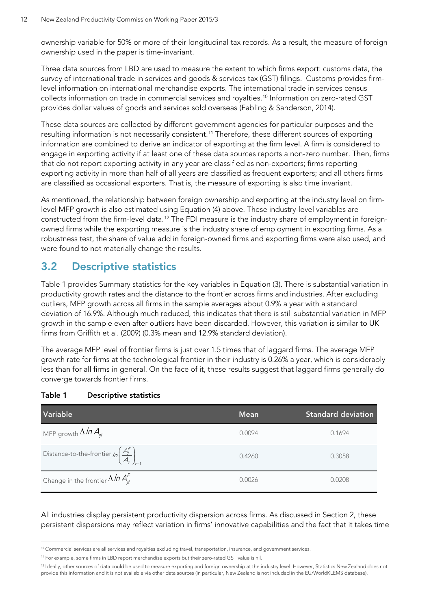ownership variable for 50% or more of their longitudinal tax records. As a result, the measure of foreign ownership used in the paper is time-invariant.

Three data sources from LBD are used to measure the extent to which firms export: customs data, the survey of international trade in services and goods & services tax (GST) filings. Customs provides firmlevel information on international merchandise exports. The international trade in services census collects information on trade in commercial services and royalties.[10](#page-11-2) Information on zero-rated GST provides dollar values of goods and services sold overseas (Fabling & Sanderson, 2014).

These data sources are collected by different government agencies for particular purposes and the resulting information is not necessarily consistent.<sup>[11](#page-11-3)</sup> Therefore, these different sources of exporting information are combined to derive an indicator of exporting at the firm level. A firm is considered to engage in exporting activity if at least one of these data sources reports a non-zero number. Then, firms that do not report exporting activity in any year are classified as non-exporters; firms reporting exporting activity in more than half of all years are classified as frequent exporters; and all others firms are classified as occasional exporters. That is, the measure of exporting is also time invariant.

As mentioned, the relationship between foreign ownership and exporting at the industry level on firmlevel MFP growth is also estimated using Equation (4) above. These industry-level variables are constructed from the firm-level data.<sup>[12](#page-11-4)</sup> The FDI measure is the industry share of employment in foreignowned firms while the exporting measure is the industry share of employment in exporting firms. As a robustness test, the share of value add in foreign-owned firms and exporting firms were also used, and were found to not materially change the results.

### <span id="page-11-0"></span>**3.2 Descriptive statistics**

[Table 1](#page-11-1) provides Summary statistics for the key variables in Equation (3). There is substantial variation in productivity growth rates and the distance to the frontier across firms and industries. After excluding outliers, MFP growth across all firms in the sample averages about 0.9% a year with a standard deviation of 16.9%. Although much reduced, this indicates that there is still substantial variation in MFP growth in the sample even after outliers have been discarded. However, this variation is similar to UK firms from Griffith et al. (2009) (0.3% mean and 12.9% standard deviation).

The average MFP level of frontier firms is just over 1.5 times that of laggard firms. The average MFP growth rate for firms at the technological frontier in their industry is 0.26% a year, which is considerably less than for all firms in general. On the face of it, these results suggest that laggard firms generally do converge towards frontier firms.

| Variable                                                             | <b>Mean</b> | <b>Standard deviation</b> |
|----------------------------------------------------------------------|-------------|---------------------------|
| MFP growth $\Delta$ In $A_{\textit{int}}$                            | 0.0094      | 0.1694                    |
| Distance-to-the-frontier $ln\left(\frac{A_j^F}{A_{ij}}\right)_{t-1}$ | 0.4260      | 0.3058                    |
| Change in the frontier $\Delta ln A_{it}^F$                          | 0.0026      | 0.0208                    |

### <span id="page-11-1"></span>**Table 1 Descriptive statistics**

All industries display persistent productivity dispersion across firms. As discussed in Section [2,](#page-6-0) these persistent dispersions may reflect variation in firms' innovative capabilities and the fact that it takes time

<sup>&</sup>lt;sup>10</sup> Commercial services are all services and royalties excluding travel, transportation, insurance, and government services.  $\ddot{ }$ 

<span id="page-11-3"></span><span id="page-11-2"></span><sup>11</sup> For example, some firms in LBD report merchandise exports but their zero-rated GST value is nil.

<span id="page-11-4"></span><sup>&</sup>lt;sup>12</sup> Ideally, other sources of data could be used to measure exporting and foreign ownership at the industry level. However, Statistics New Zealand does not provide this information and it is not available via other data sources (in particular, New Zealand is not included in the EU/WorldKLEMS database).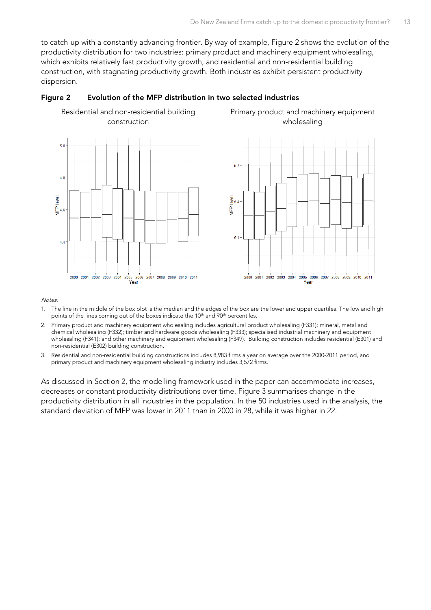Primary product and machinery equipment wholesaling

to catch-up with a constantly advancing frontier. By way of example, [Figure 2](#page-12-0) shows the evolution of the productivity distribution for two industries: primary product and machinery equipment wholesaling, which exhibits relatively fast productivity growth, and residential and non-residential building construction, with stagnating productivity growth. Both industries exhibit persistent productivity dispersion.

#### <span id="page-12-0"></span>**Figure 2 Evolution of the MFP distribution in two selected industries**





Notes:

- 1. The line in the middle of the box plot is the median and the edges of the box are the lower and upper quartiles. The low and high points of the lines coming out of the boxes indicate the 10<sup>th</sup> and 90<sup>th</sup> percentiles.
- 2. Primary product and machinery equipment wholesaling includes agricultural product wholesaling (F331); mineral, metal and chemical wholesaling (F332); timber and hardware goods wholesaling (F333); specialised industrial machinery and equipment wholesaling (F341); and other machinery and equipment wholesaling (F349). Building construction includes residential (E301) and non-residential (E302) building construction.
- 3. Residential and non-residential building constructions includes 8,983 firms a year on average over the 2000-2011 period, and primary product and machinery equipment wholesaling industry includes 3,572 firms.

As discussed in Section 2, the modelling framework used in the paper can accommodate increases, decreases or constant productivity distributions over time. Figure 3 summarises change in the productivity distribution in all industries in the population. In the 50 industries used in the analysis, the standard deviation of MFP was lower in 2011 than in 2000 in 28, while it was higher in 22.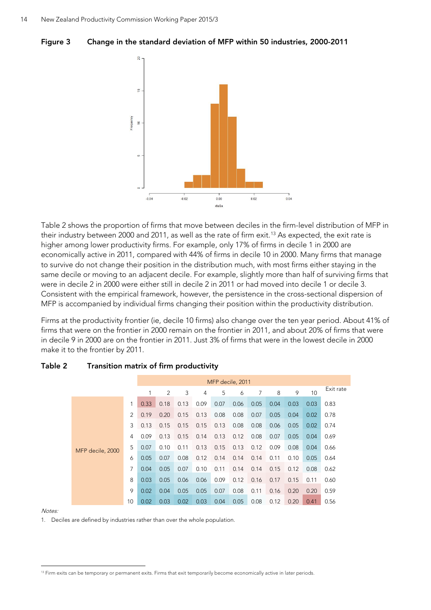<span id="page-13-1"></span>



[Table 2](#page-13-0) shows the proportion of firms that move between deciles in the firm-level distribution of MFP in their industry between 2000 and 2011, as well as the rate of firm exit.<sup>[13](#page-13-2)</sup> As expected, the exit rate is higher among lower productivity firms. For example, only 17% of firms in decile 1 in 2000 are economically active in 2011, compared with 44% of firms in decile 10 in 2000. Many firms that manage to survive do not change their position in the distribution much, with most firms either staying in the same decile or moving to an adjacent decile. For example, slightly more than half of surviving firms that were in decile 2 in 2000 were either still in decile 2 in 2011 or had moved into decile 1 or decile 3. Consistent with the empirical framework, however, the persistence in the cross-sectional dispersion of MFP is accompanied by individual firms changing their position within the productivity distribution.

Firms at the productivity frontier (ie, decile 10 firms) also change over the ten year period. About 41% of firms that were on the frontier in 2000 remain on the frontier in 2011, and about 20% of firms that were in decile 9 in 2000 are on the frontier in 2011. Just 3% of firms that were in the lowest decile in 2000 make it to the frontier by 2011.

|                  |    |      | MFP decile, 2011 |      |      |      |      |      |      |      |      |           |
|------------------|----|------|------------------|------|------|------|------|------|------|------|------|-----------|
|                  |    |      | 2                | 3    | 4    | 5    | 6    | 7    | 8    | 9    | 10   | Exit rate |
|                  |    | 0.33 | 0.18             | 0.13 | 0.09 | 0.07 | 0.06 | 0.05 | 0.04 | 0.03 | 0.03 | 0.83      |
|                  | 2  | 0.19 | 0.20             | 0.15 | 0.13 | 0.08 | 0.08 | 0.07 | 0.05 | 0.04 | 0.02 | 0.78      |
|                  | 3  | 0.13 | 0.15             | 0.15 | 0.15 | 0.13 | 0.08 | 0.08 | 0.06 | 0.05 | 0.02 | 0.74      |
|                  | 4  | 0.09 | 0.13             | 0.15 | 0.14 | 0.13 | 0.12 | 0.08 | 0.07 | 0.05 | 0.04 | 0.69      |
| MFP decile, 2000 | 5  | 0.07 | 0.10             | 0.11 | 0.13 | 0.15 | 0.13 | 0.12 | 0.09 | 0.08 | 0.04 | 0.66      |
|                  | 6  | 0.05 | 0.07             | 0.08 | 0.12 | 0.14 | 0.14 | 0.14 | 0.11 | 0.10 | 0.05 | 0.64      |
|                  | 7  | 0.04 | 0.05             | 0.07 | 0.10 | 0.11 | 0.14 | 0.14 | 0.15 | 0.12 | 0.08 | 0.62      |
|                  | 8  | 0.03 | 0.05             | 0.06 | 0.06 | 0.09 | 0.12 | 0.16 | 0.17 | 0.15 | 0.11 | 0.60      |
|                  | 9  | 0.02 | 0.04             | 0.05 | 0.05 | 0.07 | 0.08 | 0.11 | 0.16 | 0.20 | 0.20 | 0.59      |
|                  | 10 | 0.02 | 0.03             | 0.02 | 0.03 | 0.04 | 0.05 | 0.08 | 0.12 | 0.20 | 0.41 | 0.56      |

#### <span id="page-13-0"></span>**Table 2 Transition matrix of firm productivity**

Notes:

 $\ddot{ }$ 

1. Deciles are defined by industries rather than over the whole population.

<span id="page-13-2"></span><sup>&</sup>lt;sup>13</sup> Firm exits can be temporary or permanent exits. Firms that exit temporarily become economically active in later periods.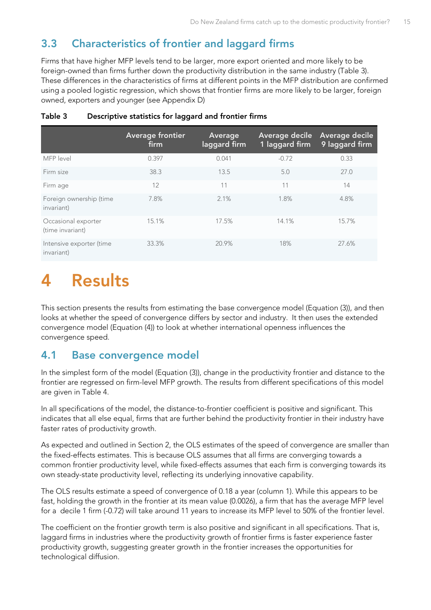# <span id="page-14-0"></span>**3.3 Characteristics of frontier and laggard firms**

Firms that have higher MFP levels tend to be larger, more export oriented and more likely to be foreign-owned than firms further down the productivity distribution in the same industry (Table 3). These differences in the characteristics of firms at different points in the MFP distribution are confirmed using a pooled logistic regression, which shows that frontier firms are more likely to be larger, foreign owned, exporters and younger (see [Appendix D\)](#page-36-0)

|                                         | <b>Average frontier</b><br>firm | Average<br>laggard firm | Average decile<br>1 laggard firm | Average decile<br>9 laggard firm |
|-----------------------------------------|---------------------------------|-------------------------|----------------------------------|----------------------------------|
| MFP level                               | 0.397                           | 0.041                   | $-0.72$                          | 0.33                             |
| Firm size                               | 38.3                            | 13.5                    | 5.0                              | 27.0                             |
| Firm age                                | 12                              | 11                      | 11                               | 14                               |
| Foreign ownership (time<br>invariant)   | 7.8%                            | 2.1%                    | 1.8%                             | 4.8%                             |
| Occasional exporter<br>(time invariant) | 15.1%                           | 17.5%                   | 14.1%                            | 15.7%                            |
| Intensive exporter (time<br>invariant)  | 33.3%                           | 20.9%                   | 18%                              | 27.6%                            |

#### <span id="page-14-3"></span>**Table 3 Descriptive statistics for laggard and frontier firms**

# <span id="page-14-1"></span>**4 Results**

This section presents the results from estimating the base convergence model (Equation [\(3\)\)](#page-7-1), and then looks at whether the speed of convergence differs by sector and industry. It then uses the extended convergence model (Equation [\(4\)\)](#page-7-2) to look at whether international openness influences the convergence speed.

### <span id="page-14-2"></span>**4.1 Base convergence model**

In the simplest form of the model (Equation [\(3\)\)](#page-7-1), change in the productivity frontier and distance to the frontier are regressed on firm-level MFP growth. The results from different specifications of this model are given in [Table 4.](#page-16-0)

In all specifications of the model, the distance-to-frontier coefficient is positive and significant. This indicates that all else equal, firms that are further behind the productivity frontier in their industry have faster rates of productivity growth.

As expected and outlined in Section 2, the OLS estimates of the speed of convergence are smaller than the fixed-effects estimates. This is because OLS assumes that all firms are converging towards a common frontier productivity level, while fixed-effects assumes that each firm is converging towards its own steady-state productivity level, reflecting its underlying innovative capability.

The OLS results estimate a speed of convergence of 0.18 a year (column 1). While this appears to be fast, holding the growth in the frontier at its mean value (0.0026), a firm that has the average MFP level for a decile 1 firm (-0.72) will take around 11 years to increase its MFP level to 50% of the frontier level.

The coefficient on the frontier growth term is also positive and significant in all specifications. That is, laggard firms in industries where the productivity growth of frontier firms is faster experience faster productivity growth, suggesting greater growth in the frontier increases the opportunities for technological diffusion.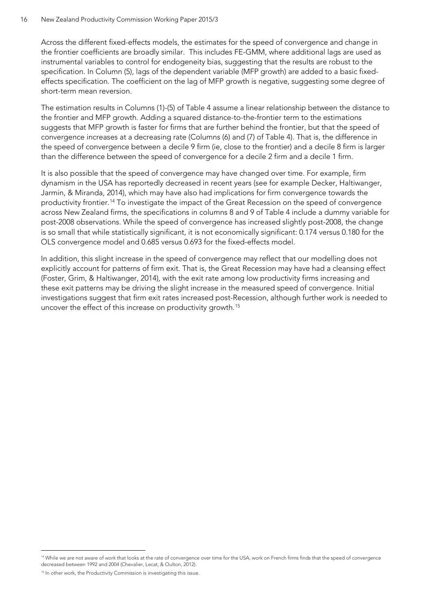#### 16 New Zealand Productivity Commission Working Paper 2015/3

Across the different fixed-effects models, the estimates for the speed of convergence and change in the frontier coefficients are broadly similar. This includes FE-GMM, where additional lags are used as instrumental variables to control for endogeneity bias, suggesting that the results are robust to the specification. In Column (5), lags of the dependent variable (MFP growth) are added to a basic fixedeffects specification. The coefficient on the lag of MFP growth is negative, suggesting some degree of short-term mean reversion.

The estimation results in Columns (1)-(5) o[f Table 4](#page-16-0) assume a linear relationship between the distance to the frontier and MFP growth. Adding a squared distance-to-the-frontier term to the estimations suggests that MFP growth is faster for firms that are further behind the frontier, but that the speed of convergence increases at a decreasing rate (Columns (6) and (7) of [Table 4\)](#page-16-0). That is, the difference in the speed of convergence between a decile 9 firm (ie, close to the frontier) and a decile 8 firm is larger than the difference between the speed of convergence for a decile 2 firm and a decile 1 firm.

It is also possible that the speed of convergence may have changed over time. For example, firm dynamism in the USA has reportedly decreased in recent years (see for example Decker, Haltiwanger, Jarmin, & Miranda, 2014), which may have also had implications for firm convergence towards the productivity frontier. [14](#page-15-0) To investigate the impact of the Great Recession on the speed of convergence across New Zealand firms, the specifications in columns 8 and 9 of [Table 4](#page-16-0) include a dummy variable for post-2008 observations. While the speed of convergence has increased slightly post-2008, the change is so small that while statistically significant, it is not economically significant: 0.174 versus 0.180 for the OLS convergence model and 0.685 versus 0.693 for the fixed-effects model.

In addition, this slight increase in the speed of convergence may reflect that our modelling does not explicitly account for patterns of firm exit. That is, the Great Recession may have had a cleansing effect (Foster, Grim, & Haltiwanger, 2014), with the exit rate among low productivity firms increasing and these exit patterns may be driving the slight increase in the measured speed of convergence. Initial investigations suggest that firm exit rates increased post-Recession, although further work is needed to uncover the effect of this increase on productivity growth.<sup>[15](#page-15-1)</sup>

 $\ddot{ }$ 

<span id="page-15-0"></span><sup>&</sup>lt;sup>14</sup> While we are not aware of work that looks at the rate of convergence over time for the USA, work on French firms finds that the speed of convergence decreased between 1992 and 2004 (Chevalier, Lecat, & Oulton, 2012).

<span id="page-15-1"></span><sup>&</sup>lt;sup>15</sup> In other work, the Productivity Commission is investigating this issue.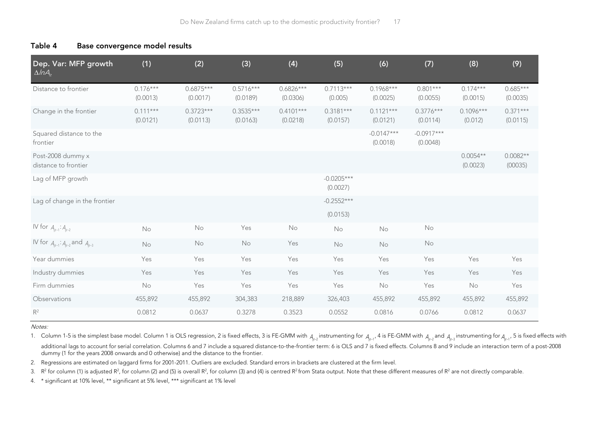| Table 4 | Base convergence model results |  |  |
|---------|--------------------------------|--|--|
|---------|--------------------------------|--|--|

| Dep. Var: MFP growth<br>$\Delta$ /n $A_{it}$ | (1)                    | (2)                     | (3)                     | (4)                     | (5)                      | (6)                      | (7)                      | (8)                    | (9)                    |
|----------------------------------------------|------------------------|-------------------------|-------------------------|-------------------------|--------------------------|--------------------------|--------------------------|------------------------|------------------------|
| Distance to frontier                         | $0.176***$<br>(0.0013) | $0.6875***$<br>(0.0017) | $0.5716***$<br>(0.0189) | $0.6826***$<br>(0.0306) | $0.7113***$<br>(0.005)   | $0.1968***$<br>(0.0025)  | $0.801***$<br>(0.0055)   | $0.174***$<br>(0.0015) | $0.685***$<br>(0.0035) |
| Change in the frontier                       | $0.111***$<br>(0.0121) | $0.3723***$<br>(0.0113) | $0.3535***$<br>(0.0163) | $0.4101***$<br>(0.0218) | $0.3181***$<br>(0.0157)  | $0.1121***$<br>(0.0121)  | $0.3776***$<br>(0.0114)  | $0.1096***$<br>(0.012) | $0.371***$<br>(0.0115) |
| Squared distance to the<br>frontier          |                        |                         |                         |                         |                          | $-0.0147***$<br>(0.0018) | $-0.0917***$<br>(0.0048) |                        |                        |
| Post-2008 dummy x<br>distance to frontier    |                        |                         |                         |                         |                          |                          |                          | $0.0054**$<br>(0.0023) | $0.0082**$<br>(00035)  |
| Lag of MFP growth                            |                        |                         |                         |                         | $-0.0205***$<br>(0.0027) |                          |                          |                        |                        |
| Lag of change in the frontier                |                        |                         |                         |                         | $-0.2552***$<br>(0.0153) |                          |                          |                        |                        |
| IV for $A_{ijt-1}$ : $A_{ijt-2}$             | No                     | No                      | Yes                     | No                      | No                       | No                       | No                       |                        |                        |
| IV for $A_{it-1}: A_{it-2}$ and $A_{it-3}$   | No                     | No                      | No                      | Yes                     | No                       | No                       | No                       |                        |                        |
| Year dummies                                 | Yes                    | Yes                     | Yes                     | Yes                     | Yes                      | Yes                      | Yes                      | Yes                    | Yes                    |
| Industry dummies                             | Yes                    | Yes                     | Yes                     | Yes                     | Yes                      | Yes                      | Yes                      | Yes                    | Yes                    |
| Firm dummies                                 | No                     | Yes                     | Yes                     | Yes                     | Yes                      | No                       | Yes                      | No                     | Yes                    |
| Observations                                 | 455,892                | 455,892                 | 304,383                 | 218,889                 | 326,403                  | 455,892                  | 455,892                  | 455,892                | 455,892                |
| $R^2$                                        | 0.0812                 | 0.0637                  | 0.3278                  | 0.3523                  | 0.0552                   | 0.0816                   | 0.0766                   | 0.0812                 | 0.0637                 |

#### <span id="page-16-0"></span>Notes:

1. Column 1-5 is the simplest base model. Column 1 is OLS regression, 2 is fixed effects, 3 is FE-GMM with  $_{A_{j\!r\!-2}}$  instrumenting for  $_{A_{j\!r\!-1}}$ , 4 is FE-GMM with  $_{A_{j\!r\!-2}}$  and  $_{A_{j\!r\!-2}}$  instrumenting additional lags to account for serial correlation. Columns 6 and 7 include a squared distance-to-the-frontier term: 6 is OLS and 7 is fixed effects. Columns 8 and 9 include an interaction term of a post-2008 dummy (1 for the years 2008 onwards and 0 otherwise) and the distance to the frontier.

2. Regressions are estimated on laggard firms for 2001-2011. Outliers are excluded. Standard errors in brackets are clustered at the firm level.

3.  $R^2$  for column (1) is adjusted R<sup>2</sup>, for column (2) and (5) is overall R<sup>2</sup>, for column (3) and (4) is centred R<sup>2</sup> from Stata output. Note that these different measures of R<sup>2</sup> are not directly comparable.

4. \* significant at 10% level, \*\* significant at 5% level, \*\*\* significant at 1% level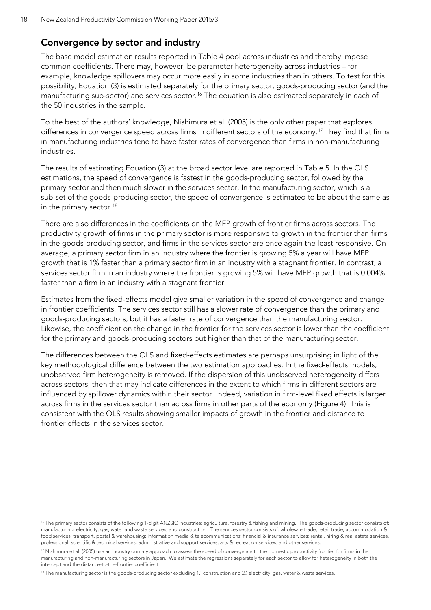### **Convergence by sector and industry**

The base model estimation results reported in [Table 4](#page-16-0) pool across industries and thereby impose common coefficients. There may, however, be parameter heterogeneity across industries – for example, knowledge spillovers may occur more easily in some industries than in others. To test for this possibility, Equation (3) is estimated separately for the primary sector, goods-producing sector (and the manufacturing sub-sector) and services sector.[16](#page-17-0) The equation is also estimated separately in each of the 50 industries in the sample.

To the best of the authors' knowledge, Nishimura et al. (2005) is the only other paper that explores differences in convergence speed across firms in different sectors of the economy.<sup>[17](#page-17-1)</sup> They find that firms in manufacturing industries tend to have faster rates of convergence than firms in non-manufacturing industries.

The results of estimating Equation (3) at the broad sector level are reported in Table 5. In the OLS estimations, the speed of convergence is fastest in the goods-producing sector, followed by the primary sector and then much slower in the services sector. In the manufacturing sector, which is a sub-set of the goods-producing sector, the speed of convergence is estimated to be about the same as in the primary sector. [18](#page-17-2)

There are also differences in the coefficients on the MFP growth of frontier firms across sectors. The productivity growth of firms in the primary sector is more responsive to growth in the frontier than firms in the goods-producing sector, and firms in the services sector are once again the least responsive. On average, a primary sector firm in an industry where the frontier is growing 5% a year will have MFP growth that is 1% faster than a primary sector firm in an industry with a stagnant frontier. In contrast, a services sector firm in an industry where the frontier is growing 5% will have MFP growth that is 0.004% faster than a firm in an industry with a stagnant frontier.

Estimates from the fixed-effects model give smaller variation in the speed of convergence and change in frontier coefficients. The services sector still has a slower rate of convergence than the primary and goods-producing sectors, but it has a faster rate of convergence than the manufacturing sector. Likewise, the coefficient on the change in the frontier for the services sector is lower than the coefficient for the primary and goods-producing sectors but higher than that of the manufacturing sector.

The differences between the OLS and fixed-effects estimates are perhaps unsurprising in light of the key methodological difference between the two estimation approaches. In the fixed-effects models, unobserved firm heterogeneity is removed. If the dispersion of this unobserved heterogeneity differs across sectors, then that may indicate differences in the extent to which firms in different sectors are influenced by spillover dynamics within their sector. Indeed, variation in firm-level fixed effects is larger across firms in the services sector than across firms in other parts of the economy [\(Figure 4\)](#page-19-0). This is consistent with the OLS results showing smaller impacts of growth in the frontier and distance to frontier effects in the services sector.

 $\ddot{ }$ 

<span id="page-17-0"></span><sup>&</sup>lt;sup>16</sup> The primary sector consists of the following 1-digit ANZSIC industries: agriculture, forestry & fishing and mining. The goods-producing sector consists of: manufacturing; electricity, gas, water and waste services; and construction. The services sector consists of: wholesale trade; retail trade; accommodation & food services; transport, postal & warehousing; information media & telecommunications; financial & insurance services; rental, hiring & real estate services, professional, scientific & technical services; administrative and support services; arts & recreation services; and other services.

<span id="page-17-1"></span><sup>&</sup>lt;sup>17</sup> Nishimura et al. (2005) use an industry dummy approach to assess the speed of convergence to the domestic productivity frontier for firms in the manufacturing and non-manufacturing sectors in Japan. We estimate the regressions separately for each sector to allow for heterogeneity in both the intercept and the distance-to-the-frontier coefficient.

<span id="page-17-2"></span><sup>&</sup>lt;sup>18</sup> The manufacturing sector is the goods-producing sector excluding 1.) construction and 2.) electricity, gas, water & waste services.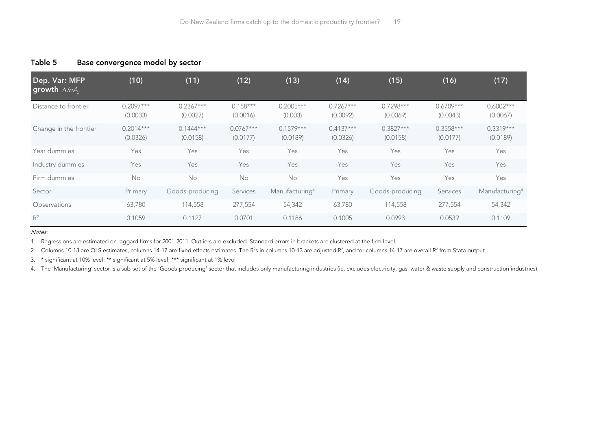| Dep. Var: MFP<br>growth $\Delta/\eta A_{\mu}$ | (10)                    | (11)                    | (12)                    | (13)                       | (14)                    | (15)                    | (16)                    | (17)                       |
|-----------------------------------------------|-------------------------|-------------------------|-------------------------|----------------------------|-------------------------|-------------------------|-------------------------|----------------------------|
| Distance to frontier                          | $0.2097***$<br>(0.0033) | $0.2367***$<br>(0.0027) | $0.158***$<br>(0.0016)  | $0.2005***$<br>(0.003)     | $0.7267***$<br>(0.0092) | $0.7298***$<br>(0.0069) | $0.6709***$<br>(0.0043) | $0.6002***$<br>(0.0067)    |
| Change in the frontier                        | $0.2014***$<br>(0.0326) | $0.1444***$<br>(0.0158) | $0.0767***$<br>(0.0177) | $0.1579***$<br>(0.0189)    | $0.4137***$<br>(0.0326) | $0.3827***$<br>(0.0158) | $0.3558***$<br>(0.0177) | $0.3319***$<br>(0.0189)    |
| Year dummies                                  | Yes                     | Yes                     | Yes                     | Yes                        | Yes                     | Yes                     | Yes                     | Yes                        |
| Industry dummies                              | Yes                     | Yes                     | Yes                     | Yes                        | Yes                     | Yes                     | Yes                     | Yes                        |
| Firm dummies                                  | No                      | No                      | No                      | No                         | Yes                     | Yes                     | Yes                     | Yes                        |
| Sector                                        | Primary                 | Goods-producing         | Services                | Manufacturing <sup>4</sup> | Primary                 | Goods-producing         | Services                | Manufacturing <sup>4</sup> |
| <b>Observations</b>                           | 63,780                  | 114,558                 | 277,554                 | 54,342                     | 63,780                  | 114,558                 | 277,554                 | 54,342                     |
| $R^2$                                         | 0.1059                  | 0.1127                  | 0.0701                  | 0.1186                     | 0.1005                  | 0.0993                  | 0.0539                  | 0.1109                     |

#### **Table 5 Base convergence model by sector**

Notes:

<span id="page-18-0"></span>1. Regressions are estimated on laggard firms for 2001-2011. Outliers are excluded. Standard errors in brackets are clustered at the firm level.

2. Columns 10-13 are OLS estimates, columns 14-17 are fixed effects estimates. The R<sup>2</sup>s in columns 10-13 are adjusted R<sup>2</sup>, and for columns 14-17 are overall R<sup>2</sup> from Stata output.

3. \* significant at 10% level, \*\* significant at 5% level, \*\*\* significant at 1% level

4. The 'Manufacturing' sector is a sub-set of the 'Goods-producing' sector that includes only manufacturing industries (ie, excludes electricity, gas, water & waste supply and construction industries).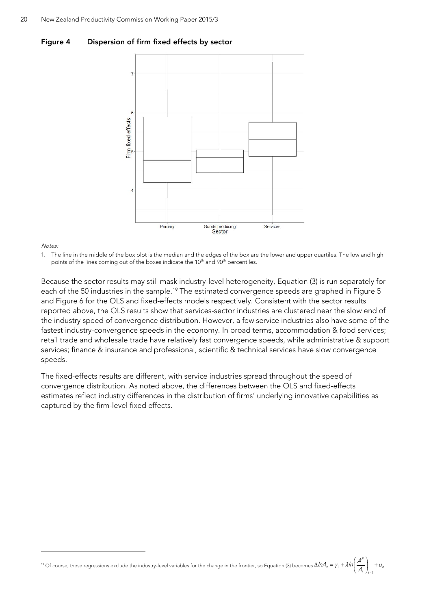<span id="page-19-0"></span>



**Notes** 

 $\overline{a}$ 

1. The line in the middle of the box plot is the median and the edges of the box are the lower and upper quartiles. The low and high points of the lines coming out of the boxes indicate the 10<sup>th</sup> and 90<sup>th</sup> percentiles.

Because the sector results may still mask industry-level heterogeneity, Equation (3) is run separately for each of the 50 industries in the sample.<sup>[19](#page-19-1)</sup> The estimated convergence speeds are graphed in [Figure 5](#page-20-0) and Figure 6 for the OLS and fixed-effects models respectively. Consistent with the sector results reported above, the OLS results show that services-sector industries are clustered near the slow end of the industry speed of convergence distribution. However, a few service industries also have some of the fastest industry-convergence speeds in the economy. In broad terms, accommodation & food services; retail trade and wholesale trade have relatively fast convergence speeds, while administrative & support services; finance & insurance and professional, scientific & technical services have slow convergence speeds.

The fixed-effects results are different, with service industries spread throughout the speed of convergence distribution. As noted above, the differences between the OLS and fixed-effects estimates reflect industry differences in the distribution of firms' underlying innovative capabilities as captured by the firm-level fixed effects.

<span id="page-19-1"></span>19 Of course, these regressions exclude the industry-level variables for the change in the frontier, so Equatio[n \(3\)](#page-7-1) becomes  $\Delta$ I $\pi$ A $_{n}$  =  $\gamma$  +  $\lambda$  $\Delta ln A_i = \gamma_i + \lambda ln \left( \frac{A^F}{A_i} \right)_{t=1} +$  $\left(A\right)$ <sub>t-1</sub>  $\left(A\right)$ <sub>t-1</sub>  $\left(A\right)$  $ln A = r + \lambda ln\left(\frac{A^r}{r}\right) + u$  $A_{i}\big|_{t=1}$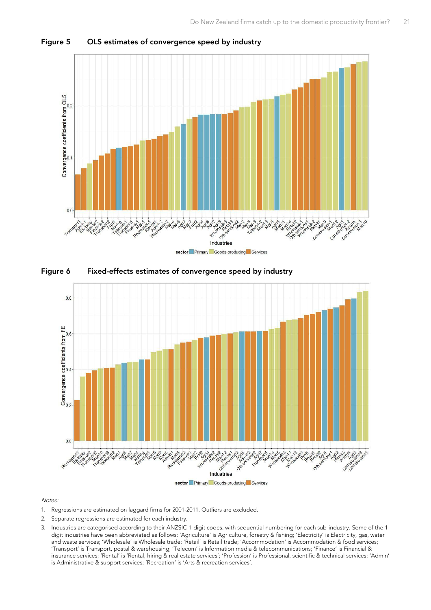

<span id="page-20-0"></span>**Figure 5 OLS estimates of convergence speed by industry**

<span id="page-20-1"></span>



#### Notes:

- 1. Regressions are estimated on laggard firms for 2001-2011. Outliers are excluded.
- 2. Separate regressions are estimated for each industry.
- 3. Industries are categorised according to their ANZSIC 1-digit codes, with sequential numbering for each sub-industry. Some of the 1 digit industries have been abbreviated as follows: 'Agriculture' is Agriculture, forestry & fishing; 'Electricity' is Electricity, gas, water and waste services; 'Wholesale' is Wholesale trade; 'Retail' is Retail trade; 'Accommodation' is Accommodation & food services; 'Transport' is Transport, postal & warehousing; 'Telecom' is Information media & telecommunications; 'Finance' is Financial & insurance services; 'Rental' is 'Rental, hiring & real estate services'; 'Profession' is Professional, scientific & technical services; 'Admin' is Administrative & support services; 'Recreation' is 'Arts & recreation services'.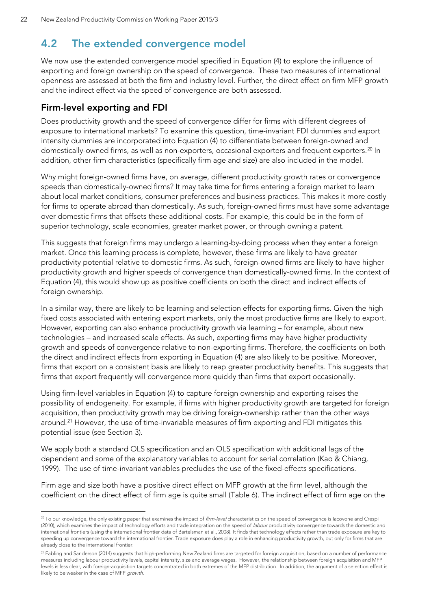### <span id="page-21-0"></span>**4.2 The extended convergence model**

We now use the extended convergence model specified in Equation (4) to explore the influence of exporting and foreign ownership on the speed of convergence. These two measures of international openness are assessed at both the firm and industry level. Further, the direct effect on firm MFP growth and the indirect effect via the speed of convergence are both assessed.

### **Firm-level exporting and FDI**

 $\ddot{ }$ 

Does productivity growth and the speed of convergence differ for firms with different degrees of exposure to international markets? To examine this question, time-invariant FDI dummies and export intensity dummies are incorporated into Equation (4) to differentiate between foreign-owned and domestically-owned firms, as well as non-exporters, occasional exporters and frequent exporters.<sup>[20](#page-21-1)</sup> In addition, other firm characteristics (specifically firm age and size) are also included in the model.

Why might foreign-owned firms have, on average, different productivity growth rates or convergence speeds than domestically-owned firms? It may take time for firms entering a foreign market to learn about local market conditions, consumer preferences and business practices. This makes it more costly for firms to operate abroad than domestically. As such, foreign-owned firms must have some advantage over domestic firms that offsets these additional costs. For example, this could be in the form of superior technology, scale economies, greater market power, or through owning a patent.

This suggests that foreign firms may undergo a learning-by-doing process when they enter a foreign market. Once this learning process is complete, however, these firms are likely to have greater productivity potential relative to domestic firms. As such, foreign-owned firms are likely to have higher productivity growth and higher speeds of convergence than domestically-owned firms. In the context of Equation (4), this would show up as positive coefficients on both the direct and indirect effects of foreign ownership.

In a similar way, there are likely to be learning and selection effects for exporting firms. Given the high fixed costs associated with entering export markets, only the most productive firms are likely to export. However, exporting can also enhance productivity growth via learning – for example, about new technologies – and increased scale effects. As such, exporting firms may have higher productivity growth and speeds of convergence relative to non-exporting firms. Therefore, the coefficients on both the direct and indirect effects from exporting in Equation (4) are also likely to be positive. Moreover, firms that export on a consistent basis are likely to reap greater productivity benefits. This suggests that firms that export frequently will convergence more quickly than firms that export occasionally.

Using firm-level variables in Equation (4) to capture foreign ownership and exporting raises the possibility of endogeneity. For example, if firms with higher productivity growth are targeted for foreign acquisition, then productivity growth may be driving foreign-ownership rather than the other ways around.<sup>[21](#page-21-2)</sup> However, the use of time-invariable measures of firm exporting and FDI mitigates this potential issue (see Section [3\)](#page-9-1).

We apply both a standard OLS specification and an OLS specification with additional lags of the dependent and some of the explanatory variables to account for serial correlation (Kao & Chiang, 1999). The use of time-invariant variables precludes the use of the fixed-effects specifications.

Firm age and size both have a positive direct effect on MFP growth at the firm level, although the coefficient on the direct effect of firm age is quite small [\(Table 6\)](#page-23-0). The indirect effect of firm age on the

<span id="page-21-1"></span><sup>&</sup>lt;sup>20</sup> To our knowledge, the only existing paper that examines the impact of *firm-level* characteristics on the speed of convergence is lacovone and Crespi (2010), which examines the impact of technology efforts and trade integration on the speed of labour productivity convergence towards the domestic and international frontiers (using the international frontier data of Bartelsman et al., 2008). It finds that technology effects rather than trade exposure are key to speeding up convergence toward the international frontier. Trade exposure does play a role in enhancing productivity growth, but only for firms that are already close to the international frontier.

<span id="page-21-2"></span><sup>&</sup>lt;sup>21</sup> Fabling and Sanderson (2014) suggests that high-performing New Zealand firms are targeted for foreign acquisition, based on a number of performance measures including labour productivity levels, capital intensity, size and average wages. However, the relationship between foreign acquisition and MFP levels is less clear, with foreign-acquisition targets concentrated in both extremes of the MFP distribution. In addition, the argument of a selection effect is likely to be weaker in the case of MFP growth.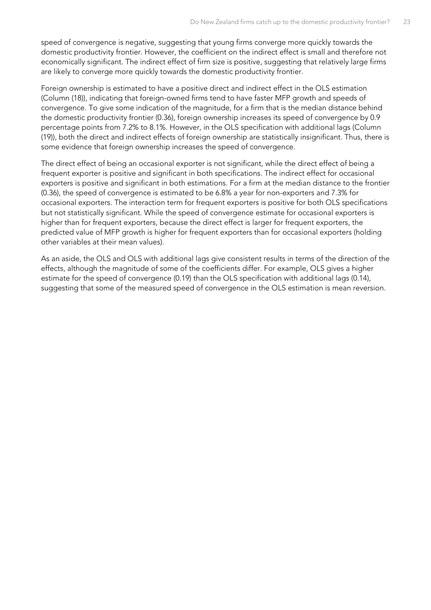speed of convergence is negative, suggesting that young firms converge more quickly towards the domestic productivity frontier. However, the coefficient on the indirect effect is small and therefore not economically significant. The indirect effect of firm size is positive, suggesting that relatively large firms are likely to converge more quickly towards the domestic productivity frontier.

Foreign ownership is estimated to have a positive direct and indirect effect in the OLS estimation (Column (18)), indicating that foreign-owned firms tend to have faster MFP growth and speeds of convergence. To give some indication of the magnitude, for a firm that is the median distance behind the domestic productivity frontier (0.36), foreign ownership increases its speed of convergence by 0.9 percentage points from 7.2% to 8.1%. However, in the OLS specification with additional lags (Column (19)), both the direct and indirect effects of foreign ownership are statistically insignificant. Thus, there is some evidence that foreign ownership increases the speed of convergence.

The direct effect of being an occasional exporter is not significant, while the direct effect of being a frequent exporter is positive and significant in both specifications. The indirect effect for occasional exporters is positive and significant in both estimations. For a firm at the median distance to the frontier (0.36), the speed of convergence is estimated to be 6.8% a year for non-exporters and 7.3% for occasional exporters. The interaction term for frequent exporters is positive for both OLS specifications but not statistically significant. While the speed of convergence estimate for occasional exporters is higher than for frequent exporters, because the direct effect is larger for frequent exporters, the predicted value of MFP growth is higher for frequent exporters than for occasional exporters (holding other variables at their mean values).

As an aside, the OLS and OLS with additional lags give consistent results in terms of the direction of the effects, although the magnitude of some of the coefficients differ. For example, OLS gives a higher estimate for the speed of convergence (0.19) than the OLS specification with additional lags (0.14), suggesting that some of the measured speed of convergence in the OLS estimation is mean reversion.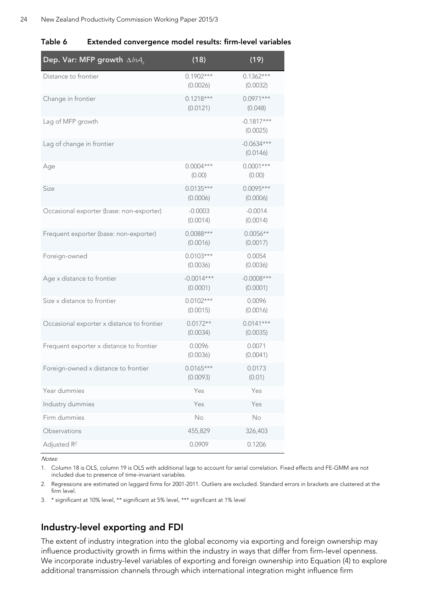| Dep. Var: MFP growth $\Delta/\eta A_{\mu}$ | (18)                     | (19)                     |
|--------------------------------------------|--------------------------|--------------------------|
| Distance to frontier                       | $0.1902***$<br>(0.0026)  | $0.1362***$<br>(0.0032)  |
| Change in frontier                         | $0.1218***$<br>(0.0121)  | $0.0971***$<br>(0.048)   |
| Lag of MFP growth                          |                          | $-0.1817***$<br>(0.0025) |
| Lag of change in frontier                  |                          | $-0.0634***$<br>(0.0146) |
| Age                                        | $0.0004***$<br>(0.00)    | $0.0001***$<br>(0.00)    |
| Size                                       | $0.0135***$<br>(0.0006)  | $0.0095***$<br>(0.0006)  |
| Occasional exporter (base: non-exporter)   | $-0.0003$<br>(0.0014)    | $-0.0014$<br>(0.0014)    |
| Frequent exporter (base: non-exporter)     | $0.0088***$<br>(0.0016)  | $0.0056**$<br>(0.0017)   |
| Foreign-owned                              | $0.0103***$<br>(0.0036)  | 0.0054<br>(0.0036)       |
| Age x distance to frontier                 | $-0.0014***$<br>(0.0001) | $-0.0008***$<br>(0.0001) |
| Size x distance to frontier                | $0.0102***$<br>(0.0015)  | 0.0096<br>(0.0016)       |
| Occasional exporter x distance to frontier | $0.0172**$<br>(0.0034)   | $0.0141***$<br>(0.0035)  |
| Frequent exporter x distance to frontier   | 0.0096<br>(0.0036)       | 0.0071<br>(0.0041)       |
| Foreign-owned x distance to frontier       | $0.0165***$<br>(0.0093)  | 0.0173<br>(0.01)         |
| Year dummies                               | Yes                      | Yes                      |
| Industry dummies                           | Yes                      | Yes                      |
| Firm dummies                               | No                       | No                       |
| Observations                               | 455,829                  | 326,403                  |

<span id="page-23-0"></span>

| Table 6<br>Extended convergence model results: firm-level variables |  |
|---------------------------------------------------------------------|--|
|---------------------------------------------------------------------|--|

Notes:

1. Column 18 is OLS, column 19 is OLS with additional lags to account for serial correlation. Fixed effects and FE-GMM are not included due to presence of time-invariant variables.

2. Regressions are estimated on laggard firms for 2001-2011. Outliers are excluded. Standard errors in brackets are clustered at the firm level.

3. \* significant at 10% level, \*\* significant at 5% level, \*\*\* significant at 1% level

Adjusted R<sup>2</sup> 0.0909 0.1206

### **Industry-level exporting and FDI**

The extent of industry integration into the global economy via exporting and foreign ownership may influence productivity growth in firms within the industry in ways that differ from firm-level openness. We incorporate industry-level variables of exporting and foreign ownership into Equation (4) to explore additional transmission channels through which international integration might influence firm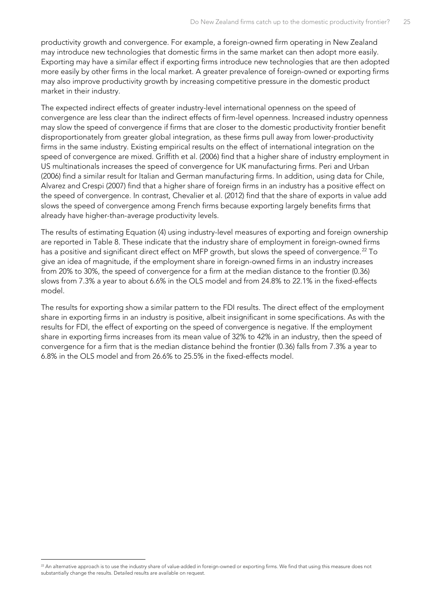productivity growth and convergence. For example, a foreign-owned firm operating in New Zealand may introduce new technologies that domestic firms in the same market can then adopt more easily. Exporting may have a similar effect if exporting firms introduce new technologies that are then adopted more easily by other firms in the local market. A greater prevalence of foreign-owned or exporting firms may also improve productivity growth by increasing competitive pressure in the domestic product market in their industry.

The expected indirect effects of greater industry-level international openness on the speed of convergence are less clear than the indirect effects of firm-level openness. Increased industry openness may slow the speed of convergence if firms that are closer to the domestic productivity frontier benefit disproportionately from greater global integration, as these firms pull away from lower-productivity firms in the same industry. Existing empirical results on the effect of international integration on the speed of convergence are mixed. Griffith et al. (2006) find that a higher share of industry employment in US multinationals increases the speed of convergence for UK manufacturing firms. Peri and Urban (2006) find a similar result for Italian and German manufacturing firms. In addition, using data for Chile, Alvarez and Crespi (2007) find that a higher share of foreign firms in an industry has a positive effect on the speed of convergence. In contrast, Chevalier et al. (2012) find that the share of exports in value add slows the speed of convergence among French firms because exporting largely benefits firms that already have higher-than-average productivity levels.

The results of estimating Equation (4) using industry-level measures of exporting and foreign ownership are reported in [Table 8.](#page-26-0) These indicate that the industry share of employment in foreign-owned firms has a positive and significant direct effect on MFP growth, but slows the speed of convergence.<sup>[22](#page-24-0)</sup> To give an idea of magnitude, if the employment share in foreign-owned firms in an industry increases from 20% to 30%, the speed of convergence for a firm at the median distance to the frontier (0.36) slows from 7.3% a year to about 6.6% in the OLS model and from 24.8% to 22.1% in the fixed-effects model.

The results for exporting show a similar pattern to the FDI results. The direct effect of the employment share in exporting firms in an industry is positive, albeit insignificant in some specifications. As with the results for FDI, the effect of exporting on the speed of convergence is negative. If the employment share in exporting firms increases from its mean value of 32% to 42% in an industry, then the speed of convergence for a firm that is the median distance behind the frontier (0.36) falls from 7.3% a year to 6.8% in the OLS model and from 26.6% to 25.5% in the fixed-effects model.

<span id="page-24-0"></span><sup>&</sup>lt;sup>22</sup> An alternative approach is to use the industry share of value-added in foreign-owned or exporting firms. We find that using this measure does not substantially change the results. Detailed results are available on request.  $\ddot{ }$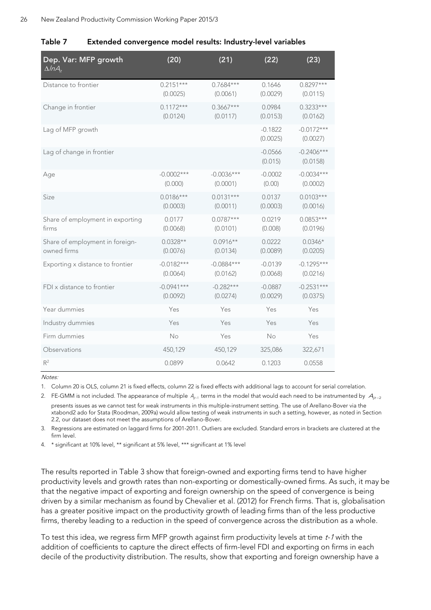<span id="page-25-0"></span>

| Table 7 | Extended convergence model results: Industry-level variables |  |  |  |
|---------|--------------------------------------------------------------|--|--|--|
|         |                                                              |  |  |  |

| Dep. Var: MFP growth<br>$\Delta / n A_{it}$ | (20)         | (21)         | (22)                  | (23)                     |
|---------------------------------------------|--------------|--------------|-----------------------|--------------------------|
| Distance to frontier                        | $0.2151***$  | $0.7684***$  | 0.1646                | $0.8297***$              |
|                                             | (0.0025)     | (0.0061)     | (0.0029)              | (0.0115)                 |
| Change in frontier                          | $0.1172***$  | $0.3667***$  | 0.0984                | $0.3233***$              |
|                                             | (0.0124)     | (0.0117)     | (0.0153)              | (0.0162)                 |
| Lag of MFP growth                           |              |              | $-0.1822$<br>(0.0025) | $-0.0172***$<br>(0.0027) |
| Lag of change in frontier                   |              |              | $-0.0566$<br>(0.015)  | $-0.2406***$<br>(0.0158) |
| Age                                         | $-0.0002***$ | $-0.0036***$ | $-0.0002$             | $-0.0034***$             |
|                                             | (0.000)      | (0.0001)     | (0.00)                | (0.0002)                 |
| Size                                        | $0.0186***$  | $0.0131***$  | 0.0137                | $0.0103***$              |
|                                             | (0.0003)     | (0.0011)     | (0.0003)              | (0.0016)                 |
| Share of employment in exporting            | 0.0177       | $0.0787***$  | 0.0219                | $0.0853***$              |
| firms                                       | (0.0068)     | (0.0101)     | (0.008)               | (0.0196)                 |
| Share of employment in foreign-             | $0.0328**$   | $0.0916**$   | 0.0222                | $0.0346*$                |
| owned firms                                 | (0.0076)     | (0.0134)     | (0.0089)              | (0.0205)                 |
| Exporting x distance to frontier            | $-0.0182***$ | $-0.0884***$ | $-0.0139$             | $-0.1295***$             |
|                                             | (0.0064)     | (0.0162)     | (0.0068)              | (0.0216)                 |
| FDI x distance to frontier                  | $-0.0941***$ | $-0.282***$  | $-0.0887$             | $-0.2531***$             |
|                                             | (0.0092)     | (0.0274)     | (0.0029)              | (0.0375)                 |
| Year dummies                                | Yes          | Yes          | Yes                   | Yes                      |
| Industry dummies                            | Yes          | Yes          | Yes                   | Yes                      |
| Firm dummies                                | No           | Yes          | No                    | Yes                      |
| Observations                                | 450,129      | 450,129      | 325,086               | 322,671                  |
| $R^2$                                       | 0.0899       | 0.0642       | 0.1203                | 0.0558                   |

Notes:

1. Column 20 is OLS, column 21 is fixed effects, column 22 is fixed effects with additional lags to account for serial correlation.

2. FE-GMM is not included. The appearance of multiple  $A_{i-1}$  terms in the model that would each need to be instrumented by  $A_{i,n-2}$ presents issues as we cannot test for weak instruments in this multiple-instrument setting. The use of Arellano-Bover via the xtabond2 ado for Stata (Roodman, 2009a) would allow testing of weak instruments in such a setting, however, as noted in Section [2.2,](#page-7-0) our dataset does not meet the assumptions of Arellano-Bover.

3. Regressions are estimated on laggard firms for 2001-2011. Outliers are excluded. Standard errors in brackets are clustered at the firm level.

4. \* significant at 10% level, \*\* significant at 5% level, \*\*\* significant at 1% level

The results reported in [Table 3](#page-14-3) show that foreign-owned and exporting firms tend to have higher productivity levels and growth rates than non-exporting or domestically-owned firms. As such, it may be that the negative impact of exporting and foreign ownership on the speed of convergence is being driven by a similar mechanism as found by Chevalier et al. (2012) for French firms. That is, globalisation has a greater positive impact on the productivity growth of leading firms than of the less productive firms, thereby leading to a reduction in the speed of convergence across the distribution as a whole.

To test this idea, we regress firm MFP growth against firm productivity levels at time t-1 with the addition of coefficients to capture the direct effects of firm-level FDI and exporting on firms in each decile of the productivity distribution. The results, show that exporting and foreign ownership have a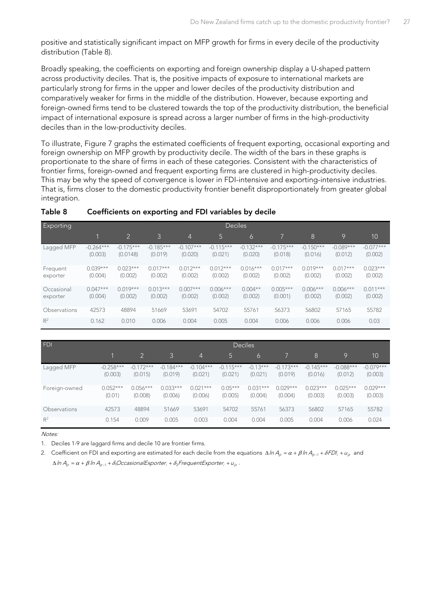positive and statistically significant impact on MFP growth for firms in every decile of the productivity distribution [\(Table 8\)](#page-26-0).

Broadly speaking, the coefficients on exporting and foreign ownership display a U-shaped pattern across productivity deciles. That is, the positive impacts of exposure to international markets are particularly strong for firms in the upper and lower deciles of the productivity distribution and comparatively weaker for firms in the middle of the distribution. However, because exporting and foreign-owned firms tend to be clustered towards the top of the productivity distribution, the beneficial impact of international exposure is spread across a larger number of firms in the high-productivity deciles than in the low-productivity deciles.

To illustrate, Figure 7 graphs the estimated coefficients of frequent exporting, occasional exporting and foreign ownership on MFP growth by productivity decile. The width of the bars in these graphs is proportionate to the share of firms in each of these categories. Consistent with the characteristics of frontier firms, foreign-owned and frequent exporting firms are clustered in high-productivity deciles. This may be why the speed of convergence is lower in FDI-intensive and exporting-intensive industries. That is, firms closer to the domestic productivity frontier benefit disproportionately from greater global integration.

| <b>Exporting</b>       | <b>Deciles</b>         |                         |                        |                        |                        |                        |                        |                        |                        |                        |
|------------------------|------------------------|-------------------------|------------------------|------------------------|------------------------|------------------------|------------------------|------------------------|------------------------|------------------------|
|                        |                        | $\overline{2}$          | 3                      | $\overline{4}$         | 5                      | 6                      |                        | 8                      | 9                      | 10                     |
| Lagged MFP             | $-0.264***$<br>(0.003) | $-0.175***$<br>(0.0148) | $-0.185***$<br>(0.019) | $-0.107***$<br>(0.020) | $-0.115***$<br>(0.021) | $-0.132***$<br>(0.020) | $-0.175***$<br>(0.018) | $-0.150***$<br>(0.016) | $-0.089***$<br>(0.012) | $-0.077***$<br>(0.002) |
| Frequent<br>exporter   | $0.039***$<br>(0.004)  | $0.023***$<br>(0.002)   | $0.017***$<br>(0.002)  | $0.012***$<br>(0.002)  | $0.012***$<br>(0.002)  | $0.016***$<br>(0.002)  | $0.017***$<br>(0.002)  | $0.019***$<br>(0.002)  | $0.017***$<br>(0.002)  | $0.023***$<br>(0.002)  |
| Occasional<br>exporter | $0.047***$<br>(0.004)  | $0.019***$<br>(0.002)   | $0.013***$<br>(0.002)  | $0.007***$<br>(0.002)  | $0.006***$<br>(0.002)  | $0.004**$<br>(0.002)   | $0.005***$<br>(0.001)  | $0.006***$<br>(0.002)  | $0.006***$<br>(0.002)  | $0.011***$<br>(0.002)  |
| Observations           | 42573                  | 48894                   | 51669                  | 53691                  | 54702                  | 55761                  | 56373                  | 56802                  | 57165                  | 55782                  |
| $R^2$                  | 0.162                  | 0.010                   | 0.006                  | 0.004                  | 0.005                  | 0.004                  | 0.006                  | 0.006                  | 0.006                  | 0.03                   |

#### <span id="page-26-0"></span>**Table 8 Coefficients on exporting and FDI variables by decile**

| FDI           | <b>Deciles</b>         |                        |                        |                        |                        |                       |                        |                        |                        |                        |
|---------------|------------------------|------------------------|------------------------|------------------------|------------------------|-----------------------|------------------------|------------------------|------------------------|------------------------|
|               |                        |                        | $\mathcal{E}$          | $\overline{4}$         | 5                      | 6                     |                        | 8                      | 19                     | 10                     |
| Lagged MFP    | $-0.258***$<br>(0.003) | $-0.172***$<br>(0.015) | $-0.184***$<br>(0.019) | $-0.104***$<br>(0.021) | $-0.115***$<br>(0.021) | $-0.13***$<br>(0.021) | $-0.173***$<br>(0.019) | $-0.145***$<br>(0.016) | $-0.088***$<br>(0.012) | $-0.079***$<br>(0.003) |
| Foreign-owned | $0.052***$<br>(0.01)   | $0.056***$<br>(0.008)  | $0.033***$<br>(0.006)  | $0.021***$<br>(0.006)  | $0.05***$<br>(0.005)   | $0.031***$<br>(0.004) | $0.029***$<br>(0.004)  | $0.023***$<br>(0.003)  | $0.025***$<br>(0.003)  | $0.029***$<br>(0.003)  |
| Observations  | 42573                  | 48894                  | 51669                  | 53691                  | 54702                  | 55761                 | 56373                  | 56802                  | 57165                  | 55782                  |
| $R^2$         | 0.154                  | 0.009                  | 0.005                  | 0.003                  | 0.004                  | 0.004                 | 0.005                  | 0.004                  | 0.006                  | 0.024                  |

Notes:

1. Deciles 1-9 are laggard firms and decile 10 are frontier firms.

2. Coefficient on FDI and exporting are estimated for each decile from the equations  $\Delta ln A_n = \alpha + \beta ln A_{n-1} + \delta FD_i + u_n$  and  $\Delta \ln A_{i_{it}} = \alpha + \beta \ln A_{i_{it-1}} + \delta$ <sub>i</sub>OccasionalExporter<sub>i</sub> +  $\delta$ <sub>2</sub> FrequentExporter<sub>i</sub> +  $u_{i_{it}}$ .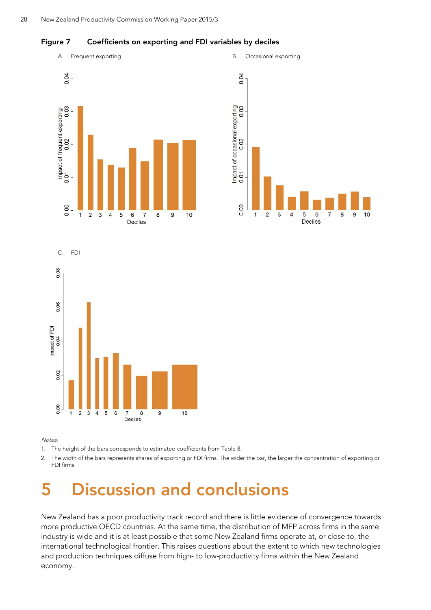<span id="page-27-1"></span>



Notes:

1. The height of the bars corresponds to estimated coefficients from Table 8.

2. The width of the bars represents shares of exporting or FDI firms. The wider the bar, the larger the concentration of exporting or FDI firms.

# <span id="page-27-0"></span>**5 Discussion and conclusions**

New Zealand has a poor productivity track record and there is little evidence of convergence towards more productive OECD countries. At the same time, the distribution of MFP across firms in the same industry is wide and it is at least possible that some New Zealand firms operate at, or close to, the international technological frontier. This raises questions about the extent to which new technologies and production techniques diffuse from high- to low-productivity firms within the New Zealand economy.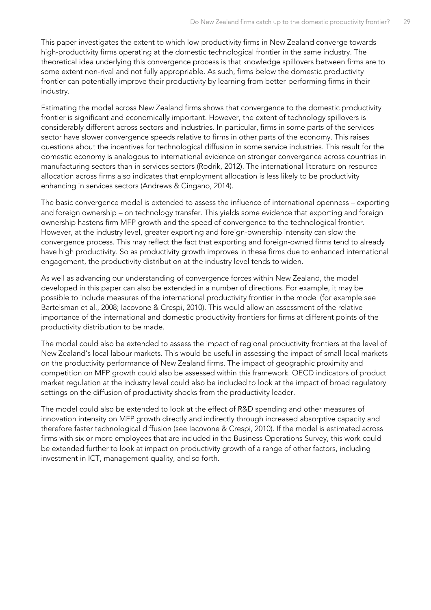This paper investigates the extent to which low-productivity firms in New Zealand converge towards high-productivity firms operating at the domestic technological frontier in the same industry. The theoretical idea underlying this convergence process is that knowledge spillovers between firms are to some extent non-rival and not fully appropriable. As such, firms below the domestic productivity frontier can potentially improve their productivity by learning from better-performing firms in their industry.

Estimating the model across New Zealand firms shows that convergence to the domestic productivity frontier is significant and economically important. However, the extent of technology spillovers is considerably different across sectors and industries. In particular, firms in some parts of the services sector have slower convergence speeds relative to firms in other parts of the economy. This raises questions about the incentives for technological diffusion in some service industries. This result for the domestic economy is analogous to international evidence on stronger convergence across countries in manufacturing sectors than in services sectors (Rodrik, 2012). The international literature on resource allocation across firms also indicates that employment allocation is less likely to be productivity enhancing in services sectors (Andrews & Cingano, 2014).

The basic convergence model is extended to assess the influence of international openness – exporting and foreign ownership – on technology transfer. This yields some evidence that exporting and foreign ownership hastens firm MFP growth and the speed of convergence to the technological frontier. However, at the industry level, greater exporting and foreign-ownership intensity can slow the convergence process. This may reflect the fact that exporting and foreign-owned firms tend to already have high productivity. So as productivity growth improves in these firms due to enhanced international engagement, the productivity distribution at the industry level tends to widen.

As well as advancing our understanding of convergence forces within New Zealand, the model developed in this paper can also be extended in a number of directions. For example, it may be possible to include measures of the international productivity frontier in the model (for example see Bartelsman et al., 2008; Iacovone & Crespi, 2010). This would allow an assessment of the relative importance of the international and domestic productivity frontiers for firms at different points of the productivity distribution to be made.

The model could also be extended to assess the impact of regional productivity frontiers at the level of New Zealand's local labour markets. This would be useful in assessing the impact of small local markets on the productivity performance of New Zealand firms. The impact of geographic proximity and competition on MFP growth could also be assessed within this framework. OECD indicators of product market regulation at the industry level could also be included to look at the impact of broad regulatory settings on the diffusion of productivity shocks from the productivity leader.

The model could also be extended to look at the effect of R&D spending and other measures of innovation intensity on MFP growth directly and indirectly through increased absorptive capacity and therefore faster technological diffusion (see Iacovone & Crespi, 2010). If the model is estimated across firms with six or more employees that are included in the Business Operations Survey, this work could be extended further to look at impact on productivity growth of a range of other factors, including investment in ICT, management quality, and so forth.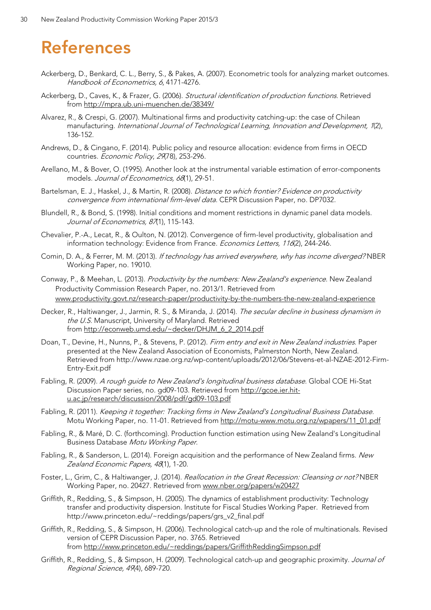# <span id="page-29-0"></span>**References**

- Ackerberg, D., Benkard, C. L., Berry, S., & Pakes, A. (2007). Econometric tools for analyzing market outcomes. Handbook of Econometrics, 6, 4171-4276.
- Ackerberg, D., Caves, K., & Frazer, G. (2006). Structural identification of production functions. Retrieved from<http://mpra.ub.uni-muenchen.de/38349/>
- Alvarez, R., & Crespi, G. (2007). Multinational firms and productivity catching-up: the case of Chilean manufacturing. International Journal of Technological Learning, Innovation and Development, 1(2), 136-152.
- Andrews, D., & Cingano, F. (2014). Public policy and resource allocation: evidence from firms in OECD countries. Economic Policy, 2978), 253-296.
- Arellano, M., & Bover, O. (1995). Another look at the instrumental variable estimation of error-components models. Journal of Econometrics, 68(1), 29-51.
- Bartelsman, E. J., Haskel, J., & Martin, R. (2008). Distance to which frontier? Evidence on productivity convergence from international firm-level data. CEPR Discussion Paper, no. DP7032.
- Blundell, R., & Bond, S. (1998). Initial conditions and moment restrictions in dynamic panel data models. Journal of Econometrics, 87(1), 115-143.
- Chevalier, P.-A., Lecat, R., & Oulton, N. (2012). Convergence of firm-level productivity, globalisation and information technology: Evidence from France. Economics Letters, 116(2), 244-246.
- Comin, D. A., & Ferrer, M. M. (2013). If technology has arrived everywhere, why has income diverged? NBER Working Paper, no. 19010.
- Conway, P., & Meehan, L. (2013). Productivity by the numbers: New Zealand's experience. New Zealand Productivity Commission Research Paper, no. 2013/1. Retrieved from [www.productivity.govt.nz/research-paper/productivity-by-the-numbers-the-new-zealand-experience](http://www.productivity.govt.nz/research-paper/productivity-by-the-numbers-the-new-zealand-experience)
- Decker, R., Haltiwanger, J., Jarmin, R. S., & Miranda, J. (2014). The secular decline in business dynamism in the U.S. Manuscript, University of Maryland. Retrieved from [http://econweb.umd.edu/~decker/DHJM\\_6\\_2\\_2014.pdf](http://econweb.umd.edu/%7Edecker/DHJM_6_2_2014.pdf)
- Doan, T., Devine, H., Nunns, P., & Stevens, P. (2012). Firm entry and exit in New Zealand industries. Paper presented at the New Zealand Association of Economists, Palmerston North, New Zealand. Retrieved from http://www.nzae.org.nz/wp-content/uploads/2012/06/Stevens-et-al-NZAE-2012-Firm-Entry-Exit.pdf
- Fabling, R. (2009). A rough guide to New Zealand's longitudinal business database. Global COE Hi-Stat Discussion Paper series, no. gd09-103. Retrieved from [http://gcoe.ier.hit](http://gcoe.ier.hit-u.ac.jp/research/discussion/2008/pdf/gd09-103.pdf)[u.ac.jp/research/discussion/2008/pdf/gd09-103.pdf](http://gcoe.ier.hit-u.ac.jp/research/discussion/2008/pdf/gd09-103.pdf)
- Fabling, R. (2011). Keeping it together: Tracking firms in New Zealand's Longitudinal Business Database. Motu Working Paper, no. 11-01. Retrieved fro[m http://motu-www.motu.org.nz/wpapers/11\\_01.pdf](http://motu-www.motu.org.nz/wpapers/11_01.pdf)
- Fabling, R., & Maré, D. C. (forthcoming). Production function estimation using New Zealand's Longitudinal Business Database Motu Working Paper.
- Fabling, R., & Sanderson, L. (2014). Foreign acquisition and the performance of New Zealand firms. New Zealand Economic Papers, 48(1), 1-20.
- Foster, L., Grim, C., & Haltiwanger, J. (2014). *Reallocation in the Great Recession: Cleansing or not?* NBER Working Paper, no. 20427. Retrieved from [www.nber.org/papers/w20427](http://www.nber.org/papers/w20427)
- Griffith, R., Redding, S., & Simpson, H. (2005). The dynamics of establishment productivity: Technology transfer and productivity dispersion. Institute for Fiscal Studies Working Paper. Retrieved from http://www.princeton.edu/~reddings/papers/grs\_v2\_final.pdf
- Griffith, R., Redding, S., & Simpson, H. (2006). Technological catch-up and the role of multinationals. Revised version of CEPR Discussion Paper, no. 3765. Retrieved from [http://www.princeton.edu/~reddings/papers/GriffithReddingSimpson.pdf](http://www.princeton.edu/%7Ereddings/papers/GriffithReddingSimpson.pdf)
- Griffith, R., Redding, S., & Simpson, H. (2009). Technological catch-up and geographic proximity. Journal of Regional Science, 49(4), 689-720.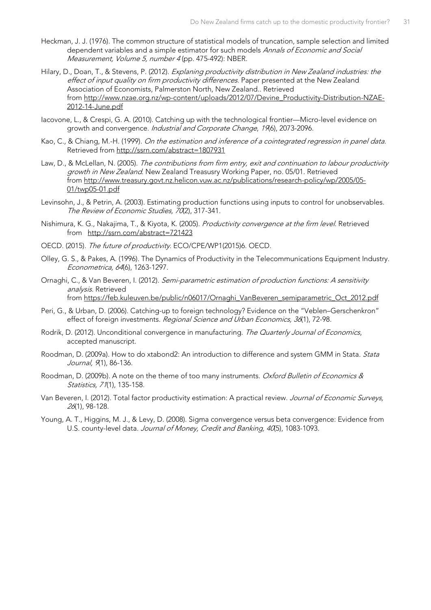- Heckman, J. J. (1976). The common structure of statistical models of truncation, sample selection and limited dependent variables and a simple estimator for such models Annals of Economic and Social Measurement, Volume 5, number 4 (pp. 475-492): NBER.
- Hilary, D., Doan, T., & Stevens, P. (2012). Explaning productivity distribution in New Zealand industries: the effect of input quality on firm productivity differences. Paper presented at the New Zealand Association of Economists, Palmerston North, New Zealand.. Retrieved from [http://www.nzae.org.nz/wp-content/uploads/2012/07/Devine\\_Productivity-Distribution-NZAE-](http://www.nzae.org.nz/wp-content/uploads/2012/07/Devine_Productivity-Distribution-NZAE-2012-14-June.pdf)[2012-14-June.pdf](http://www.nzae.org.nz/wp-content/uploads/2012/07/Devine_Productivity-Distribution-NZAE-2012-14-June.pdf)
- Iacovone, L., & Crespi, G. A. (2010). Catching up with the technological frontier—Micro-level evidence on growth and convergence. Industrial and Corporate Change, 19(6), 2073-2096.
- Kao, C., & Chiang, M.-H. (1999). On the estimation and inference of a cointegrated regression in panel data. Retrieved from [http://ssrn.com/abstract=1807931](http://ssrn.com.helicon.vuw.ac.nz/abstract=1807931)
- Law, D., & McLellan, N. (2005). The contributions from firm entry, exit and continuation to labour productivity growth in New Zealand. New Zealand Treasusry Working Paper, no. 05/01. Retrieved from [http://www.treasury.govt.nz.helicon.vuw.ac.nz/publications/research-policy/wp/2005/05-](http://www.treasury.govt.nz.helicon.vuw.ac.nz/publications/research-policy/wp/2005/05-01/twp05-01.pdf) [01/twp05-01.pdf](http://www.treasury.govt.nz.helicon.vuw.ac.nz/publications/research-policy/wp/2005/05-01/twp05-01.pdf)
- Levinsohn, J., & Petrin, A. (2003). Estimating production functions using inputs to control for unobservables. The Review of Economic Studies, 70(2), 317-341.
- Nishimura, K. G., Nakajima, T., & Kiyota, K. (2005). Productivity convergence at the firm level. Retrieved from [http://ssrn.com/abstract=721423](http://ssrn.com.helicon.vuw.ac.nz/abstract=721423)
- OECD. (2015). The future of productivity. ECO/CPE/WP1(2015)6. OECD.
- Olley, G. S., & Pakes, A. (1996). The Dynamics of Productivity in the Telecommunications Equipment Industry. Econometrica, 64(6), 1263-1297.
- Ornaghi, C., & Van Beveren, I. (2012). Semi-parametric estimation of production functions: A sensitivity analysis. Retrieved from [https://feb.kuleuven.be/public/n06017/Ornaghi\\_VanBeveren\\_semiparametric\\_Oct\\_2012.pdf](https://feb.kuleuven.be/public/n06017/Ornaghi_VanBeveren_semiparametric_Oct_2012.pdf)
- Peri, G., & Urban, D. (2006). Catching-up to foreign technology? Evidence on the "Veblen–Gerschenkron" effect of foreign investments. Regional Science and Urban Economics, 36(1), 72-98.
- Rodrik, D. (2012). Unconditional convergence in manufacturing. The Quarterly Journal of Economics, accepted manuscript.
- Roodman, D. (2009a). How to do xtabond2: An introduction to difference and system GMM in Stata. Stata Journal, 9(1), 86-136.
- Roodman, D. (2009b). A note on the theme of too many instruments. Oxford Bulletin of Economics & Statistics, 71(1), 135-158.
- Van Beveren, I. (2012). Total factor productivity estimation: A practical review. Journal of Economic Surveys, 26(1), 98-128.
- Young, A. T., Higgins, M. J., & Levy, D. (2008). Sigma convergence versus beta convergence: Evidence from U.S. county-level data. Journal of Money, Credit and Banking, 40(5), 1083-1093.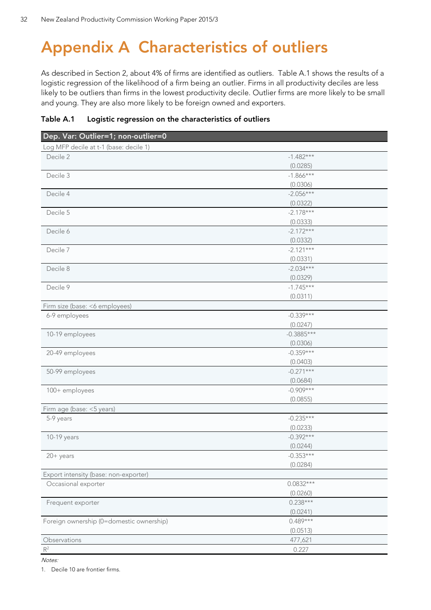# <span id="page-31-0"></span>**Appendix A Characteristics of outliers**

As described in Section [2,](#page-6-0) about 4% of firms are identified as outliers. [Table A.1](#page-31-1) shows the results of a logistic regression of the likelihood of a firm being an outlier. Firms in all productivity deciles are less likely to be outliers than firms in the lowest productivity decile. Outlier firms are more likely to be small and young. They are also more likely to be foreign owned and exporters.

<span id="page-31-1"></span>

| Table A.1 |  |  |  | Logistic regression on the characteristics of outliers |  |
|-----------|--|--|--|--------------------------------------------------------|--|
|-----------|--|--|--|--------------------------------------------------------|--|

| Dep. Var: Outlier=1; non-outlier=0       |              |
|------------------------------------------|--------------|
| Log MFP decile at t-1 (base: decile 1)   |              |
| Decile 2                                 | $-1.482***$  |
|                                          | (0.0285)     |
| Decile 3                                 | $-1.866***$  |
|                                          | (0.0306)     |
| Decile 4                                 | $-2.056***$  |
|                                          | (0.0322)     |
| Decile 5                                 | $-2.178***$  |
|                                          | (0.0333)     |
| Decile 6                                 | $-2.172***$  |
|                                          | (0.0332)     |
| Decile 7                                 | $-2.121***$  |
|                                          | (0.0331)     |
| Decile 8                                 | $-2.034***$  |
|                                          | (0.0329)     |
| Decile 9                                 | $-1.745***$  |
|                                          | (0.0311)     |
| Firm size (base: <6 employees)           |              |
| 6-9 employees                            | $-0.339***$  |
|                                          | (0.0247)     |
| 10-19 employees                          | $-0.3885***$ |
|                                          | (0.0306)     |
| 20-49 employees                          | $-0.359***$  |
|                                          | (0.0403)     |
| 50-99 employees                          | $-0.271***$  |
|                                          | (0.0684)     |
| 100+ employees                           | $-0.909***$  |
|                                          | (0.0855)     |
| Firm age (base: <5 years)                |              |
| 5-9 years                                | $-0.235***$  |
|                                          | (0.0233)     |
| 10-19 years                              | $-0.392***$  |
|                                          | (0.0244)     |
| $20 + years$                             | $-0.353***$  |
|                                          | (0.0284)     |
| Export intensity (base: non-exporter)    |              |
| Occasional exporter                      | $0.0832***$  |
|                                          | (0.0260)     |
| Frequent exporter                        | $0.238***$   |
|                                          | (0.0241)     |
| Foreign ownership (0=domestic ownership) | $0.489***$   |
|                                          | (0.0513)     |
| Observations                             | 477,621      |
| $\mathsf{R}^2$                           | 0.227        |

Notes:

1. Decile 10 are frontier firms.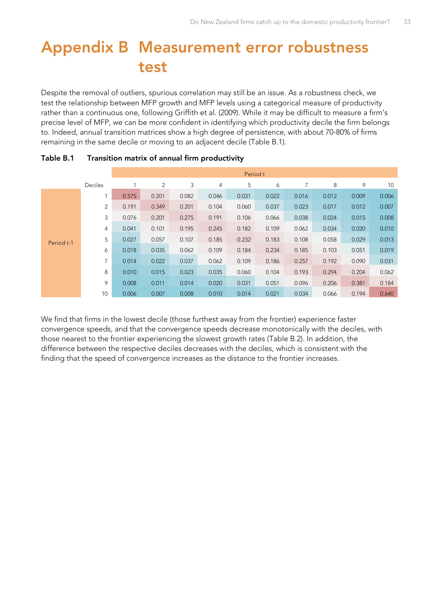# <span id="page-32-0"></span>**Appendix B Measurement error robustness test**

Despite the removal of outliers, spurious correlation may still be an issue. As a robustness check, we test the relationship between MFP growth and MFP levels using a categorical measure of productivity rather than a continuous one, following Griffith et al. (2009). While it may be difficult to measure a firm's precise level of MFP, we can be more confident in identifying which productivity decile the firm belongs to. Indeed, annual transition matrices show a high degree of persistence, with about 70-80% of firms remaining in the same decile or moving to an adjacent decile [\(Table B.1\).](#page-32-1)

|            |                |       | Period t |       |       |       |       |       |       |       |       |
|------------|----------------|-------|----------|-------|-------|-------|-------|-------|-------|-------|-------|
|            | <b>Deciles</b> |       | 2        | 3     | 4     | 5     | 6     |       | 8     | 9     | 10    |
|            |                | 0.575 | 0.201    | 0.082 | 0.046 | 0.031 | 0.022 | 0.016 | 0.012 | 0.009 | 0.006 |
|            | 2              | 0.191 | 0.349    | 0.201 | 0.104 | 0.060 | 0.037 | 0.023 | 0.017 | 0.012 | 0.007 |
| Period t-1 | 3              | 0.076 | 0.201    | 0.275 | 0.191 | 0.106 | 0.066 | 0.038 | 0.024 | 0.015 | 0.008 |
|            | $\overline{4}$ | 0.041 | 0.101    | 0.195 | 0.245 | 0.182 | 0.109 | 0.062 | 0.034 | 0.020 | 0.010 |
|            | 5              | 0.027 | 0.057    | 0.107 | 0.185 | 0.232 | 0.183 | 0.108 | 0.058 | 0.029 | 0.013 |
|            | 6              | 0.018 | 0.035    | 0.062 | 0.109 | 0.184 | 0.234 | 0.185 | 0.103 | 0.051 | 0.019 |
|            | $\overline{7}$ | 0.014 | 0.022    | 0.037 | 0.062 | 0.109 | 0.186 | 0.257 | 0.192 | 0.090 | 0.031 |
|            | 8              | 0.010 | 0.015    | 0.023 | 0.035 | 0.060 | 0.104 | 0.193 | 0.294 | 0.204 | 0.062 |
|            | 9              | 0.008 | 0.011    | 0.014 | 0.020 | 0.031 | 0.051 | 0.096 | 0.206 | 0.381 | 0.184 |
|            | 10             | 0.006 | 0.007    | 0.008 | 0.010 | 0.014 | 0.021 | 0.034 | 0.066 | 0.194 | 0.640 |

#### <span id="page-32-1"></span>**Table B.1 Transition matrix of annual firm productivity**

We find that firms in the lowest decile (those furthest away from the frontier) experience faster convergence speeds, and that the convergence speeds decrease monotonically with the deciles, with those nearest to the frontier experiencing the slowest growth rates [\(Table B.2\)](#page-33-0). In addition, the difference between the respective deciles decreases with the deciles, which is consistent with the finding that the speed of convergence increases as the distance to the frontier increases.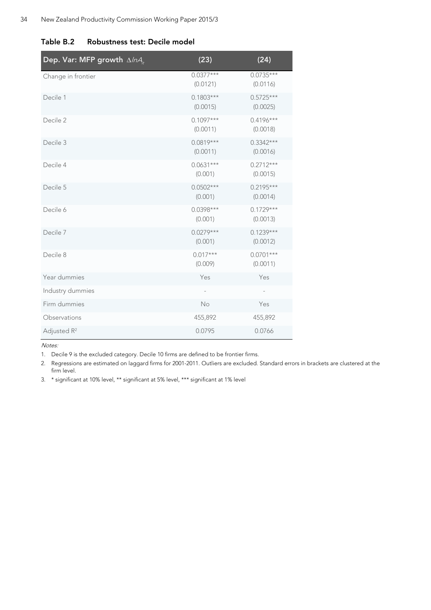| Dep. Var: MFP growth $\Delta/\eta A_{\mu}$ | (23)                    | (24)                    |
|--------------------------------------------|-------------------------|-------------------------|
| Change in frontier                         | $0.0377***$<br>(0.0121) | $0.0735***$<br>(0.0116) |
| Decile 1                                   | $0.1803***$<br>(0.0015) | $0.5725***$<br>(0.0025) |
| Decile 2                                   | $0.1097***$<br>(0.0011) | $0.4196***$<br>(0.0018) |
| Decile 3                                   | $0.0819***$<br>(0.0011) | $0.3342***$<br>(0.0016) |
| Decile 4                                   | $0.0631***$<br>(0.001)  | $0.2712***$<br>(0.0015) |
| Decile 5                                   | $0.0502***$<br>(0.001)  | $0.2195***$<br>(0.0014) |
| Decile 6                                   | $0.0398***$<br>(0.001)  | $0.1729***$<br>(0.0013) |
| Decile 7                                   | $0.0279***$<br>(0.001)  | $0.1239***$<br>(0.0012) |
| Decile 8                                   | $0.017***$<br>(0.009)   | $0.0701***$<br>(0.0011) |
| Year dummies                               | Yes                     | Yes                     |
| Industry dummies                           | $\qquad \qquad -$       | $\qquad \qquad -$       |
| Firm dummies                               | No                      | Yes                     |
| Observations                               | 455,892                 | 455,892                 |
| Adjusted R <sup>2</sup>                    | 0.0795                  | 0.0766                  |

#### <span id="page-33-0"></span>**Table B.2 Robustness test: Decile model**

Notes:

1. Decile 9 is the excluded category. Decile 10 firms are defined to be frontier firms.

2. Regressions are estimated on laggard firms for 2001-2011. Outliers are excluded. Standard errors in brackets are clustered at the firm level.

3. \* significant at 10% level, \*\* significant at 5% level, \*\*\* significant at 1% level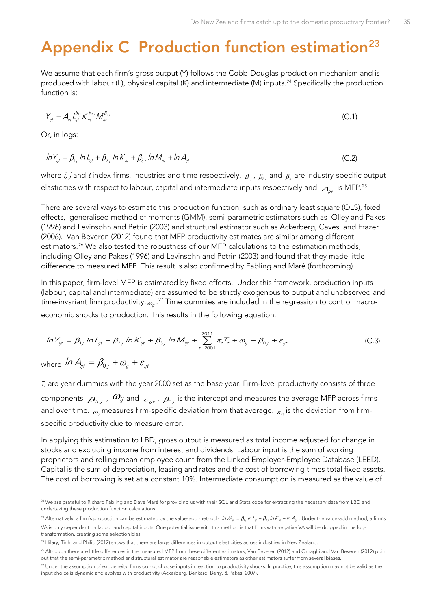# <span id="page-34-0"></span>**Appendix C Production function estimation[23](#page-34-1)**

We assume that each firm's gross output (Y) follows the Cobb-Douglas production mechanism and is produced with labour (L), physical capital (K) and intermediate (M) inputs.<sup>[24](#page-34-2)</sup> Specifically the production function is:

$$
Y_{ijt} = A_{ijt} \frac{\mu_{ij}}{\mu_{jt}} K_{ijt}^{\beta_{2j}} M_{ijt}^{\beta_{3j}}
$$
 (C.1)

Or, in logs:

$$
ln Y_{ijt} = \beta_{1j} ln L_{ijt} + \beta_{2j} ln K_{ijt} + \beta_{3j} ln M_{ijt} + ln A_{ijt}
$$
 (C.2)

where  $i$ ,  $j$  and  $t$  index firms, industries and time respectively.  $\beta_{1j}$  ,  $\beta_{2j}$  and  $\beta_{3j}$  are industry-specific output elasticities with respect to labour, capital and intermediate inputs respectively and  $A_{ijt}$  is MFP.<sup>25</sup>

There are several ways to estimate this production function, such as ordinary least square (OLS), fixed effects, generalised method of moments (GMM), semi-parametric estimators such as Olley and Pakes (1996) and Levinsohn and Petrin (2003) and structural estimator such as Ackerberg, Caves, and Frazer (2006). Van Beveren (2012) found that MFP productivity estimates are similar among different estimators.<sup>[26](#page-34-4)</sup> We also tested the robustness of our MFP calculations to the estimation methods, including Olley and Pakes (1996) and Levinsohn and Petrin (2003) and found that they made little difference to measured MFP. This result is also confirmed by Fabling and Maré (forthcoming).

In this paper, firm-level MFP is estimated by fixed effects. Under this framework, production inputs (labour, capital and intermediate) are assumed to be strictly exogenous to output and unobserved and time-invariant firm productivity,  $_{\alpha_{ji}}$  .<sup>[27](#page-34-5)</sup> Time dummies are included in the regression to control macroeconomic shocks to production. This results in the following equation:

$$
ln Y_{ijt} = \beta_{1j} ln L_{ijt} + \beta_{2j} ln K_{ijt} + \beta_{3j} ln M_{ijt} + \sum_{t=2001}^{2011} \pi_t T_t + \omega_{ij} + \beta_{0j} + \varepsilon_{ijt}
$$
 (C.3)

where  $\ln A_{ijt} = \beta_{0i} + \omega_{ii} + \varepsilon_{ii}$ 

 $\ddot{ }$ 

 $T<sub>r</sub>$  are year dummies with the year 2000 set as the base year. Firm-level productivity consists of three components  $\ket{\beta_{0j}}$  ,  $\ket{\vartheta_{ij}}$  and  $\ket{\varepsilon_{ijt}}$  .  $\ket{\beta_{0j}}$  is the intercept and measures the average MFP across firms and over time.  $\omega_{ii}$  measures firm-specific deviation from that average.  $\varepsilon_{ii}$  is the deviation from firmspecific productivity due to measure error.

In applying this estimation to LBD, gross output is measured as total income adjusted for change in stocks and excluding income from interest and dividends. Labour input is the sum of working proprietors and rolling mean employee count from the Linked Employer-Employee Database (LEED). Capital is the sum of depreciation, leasing and rates and the cost of borrowing times total fixed assets. The cost of borrowing is set at a constant 10%. Intermediate consumption is measured as the value of

<span id="page-34-1"></span><sup>&</sup>lt;sup>23</sup> We are grateful to Richard Fabling and Dave Maré for providing us with their SQL and Stata code for extracting the necessary data from LBD and undertaking these production function calculations.

<span id="page-34-2"></span><sup>&</sup>lt;sup>24</sup> Alternatively, a firm's production can be estimated by the value-add method -  $lnVA_{\rm at} = \beta_{1i} ln L_{\rm at} + \beta_{2i} ln K_{\rm at} + ln A_{\rm at}$ . Under the value-add method, a firm's VA is only dependent on labour and capital inputs. One potential issue with this method is that firms with negative VA will be dropped in the logtransformation, creating some selection bias.

<span id="page-34-3"></span><sup>&</sup>lt;sup>25</sup> Hilary, Tinh, and Philip (2012) shows that there are large differences in output elasticities across industries in New Zealand.

<span id="page-34-4"></span><sup>&</sup>lt;sup>26</sup> Although there are little differences in the measured MFP from these different estimators, Van Beveren (2012) and Ornaghi and Van Beveren (2012) point out that the semi-parametric method and structural estimator are reasonable estimators as other estimators suffer from several biases.

<span id="page-34-5"></span><sup>&</sup>lt;sup>27</sup> Under the assumption of exogeneity, firms do not choose inputs in reaction to productivity shocks. In practice, this assumption may not be valid as the input choice is dynamic and evolves with productivity (Ackerberg, Benkard, Berry, & Pakes, 2007).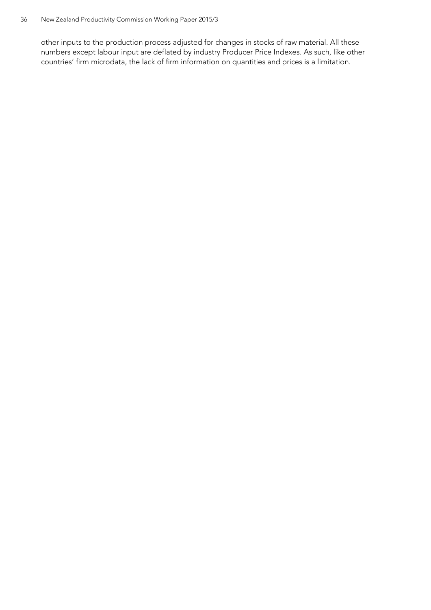other inputs to the production process adjusted for changes in stocks of raw material. All these numbers except labour input are deflated by industry Producer Price Indexes. As such, like other countries' firm microdata, the lack of firm information on quantities and prices is a limitation.